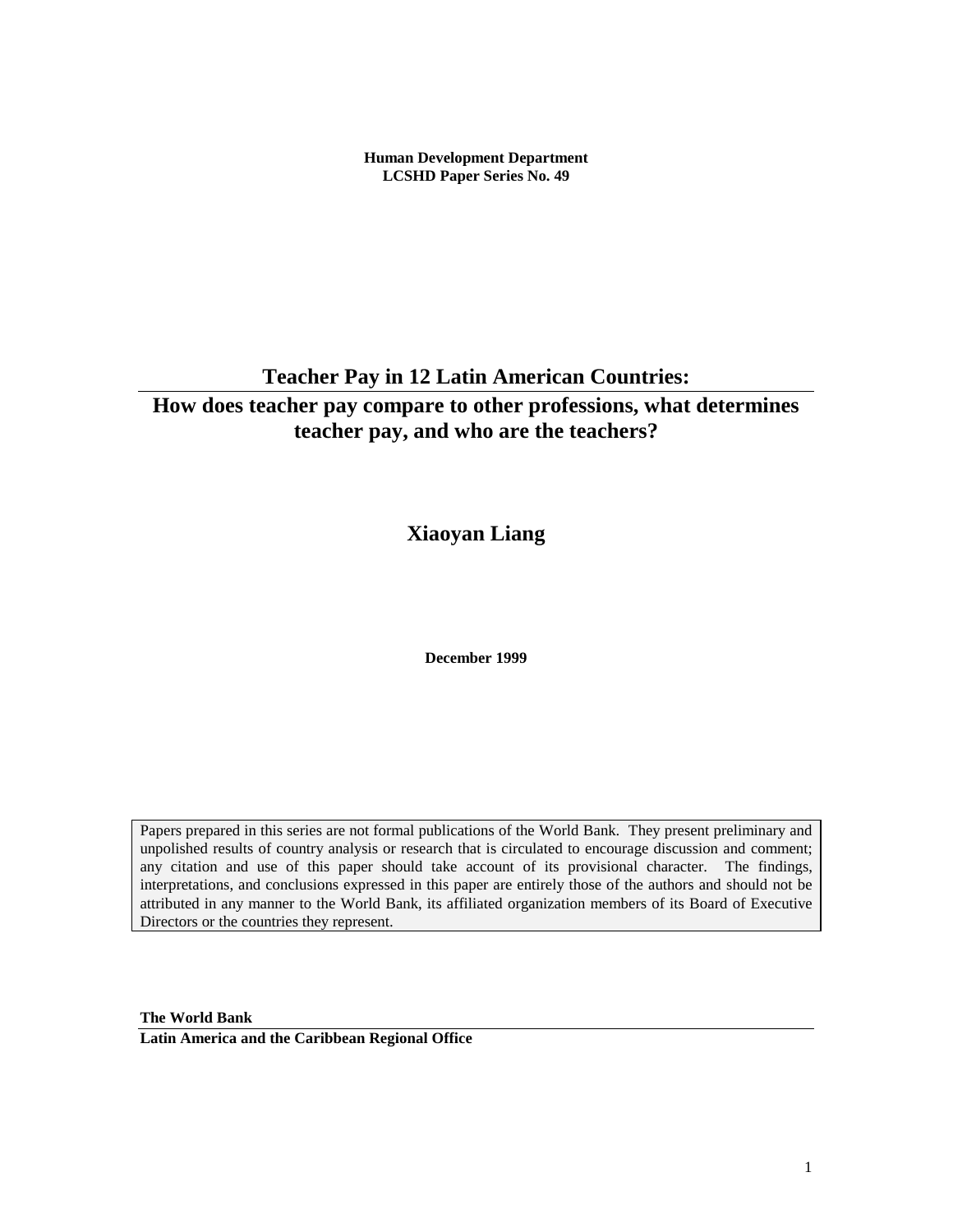**Human Development Department LCSHD Paper Series No. 49**

**Teacher Pay in 12 Latin American Countries:**

# **How does teacher pay compare to other professions, what determines teacher pay, and who are the teachers?**

**Xiaoyan Liang**

**December 1999**

Papers prepared in this series are not formal publications of the World Bank. They present preliminary and unpolished results of country analysis or research that is circulated to encourage discussion and comment; any citation and use of this paper should take account of its provisional character. The findings, interpretations, and conclusions expressed in this paper are entirely those of the authors and should not be attributed in any manner to the World Bank, its affiliated organization members of its Board of Executive Directors or the countries they represent.

**The World Bank**

**Latin America and the Caribbean Regional Office**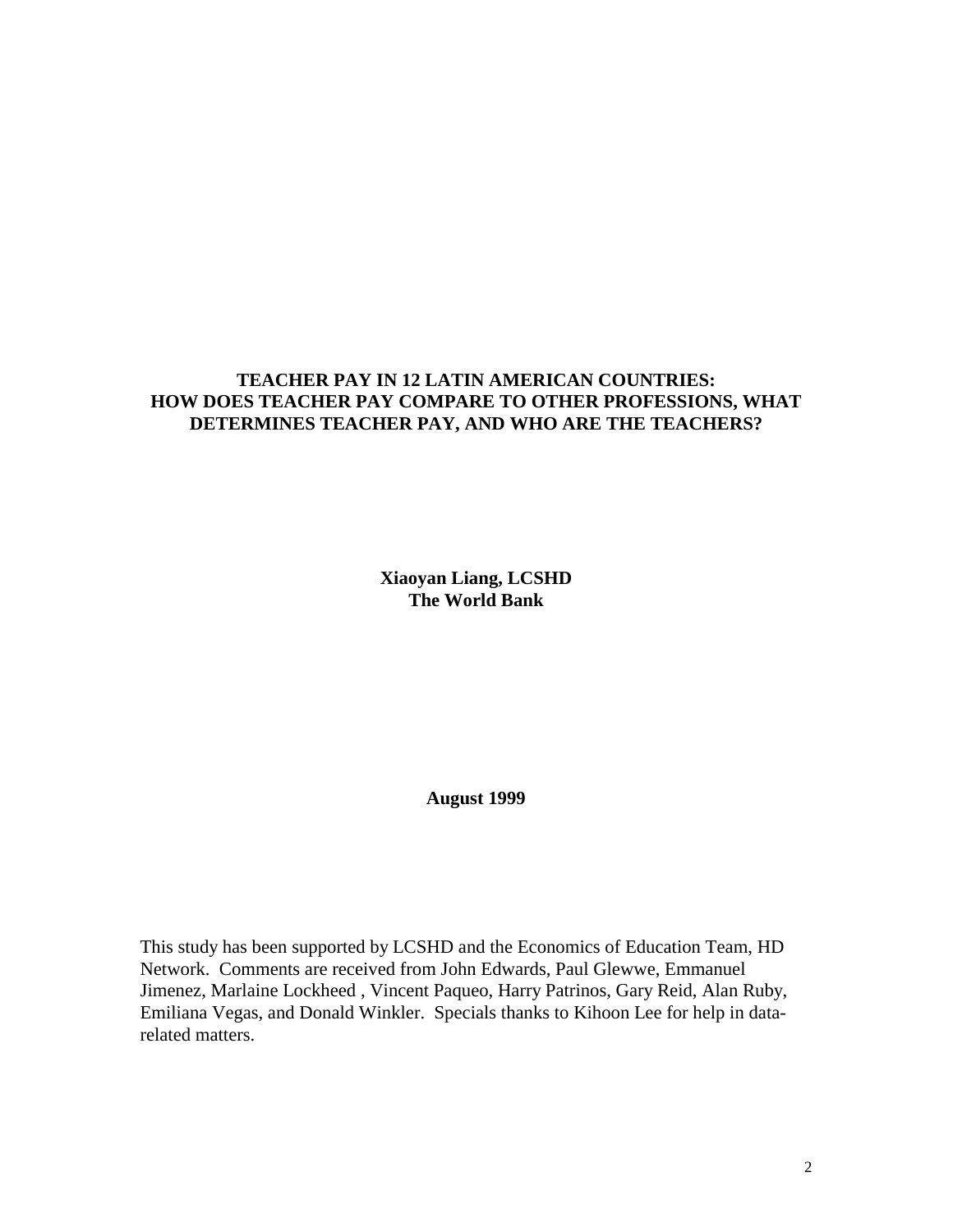## **TEACHER PAY IN 12 LATIN AMERICAN COUNTRIES: HOW DOES TEACHER PAY COMPARE TO OTHER PROFESSIONS, WHAT DETERMINES TEACHER PAY, AND WHO ARE THE TEACHERS?**

**Xiaoyan Liang, LCSHD The World Bank**

**August 1999**

This study has been supported by LCSHD and the Economics of Education Team, HD Network. Comments are received from John Edwards, Paul Glewwe, Emmanuel Jimenez, Marlaine Lockheed , Vincent Paqueo, Harry Patrinos, Gary Reid, Alan Ruby, Emiliana Vegas, and Donald Winkler. Specials thanks to Kihoon Lee for help in datarelated matters.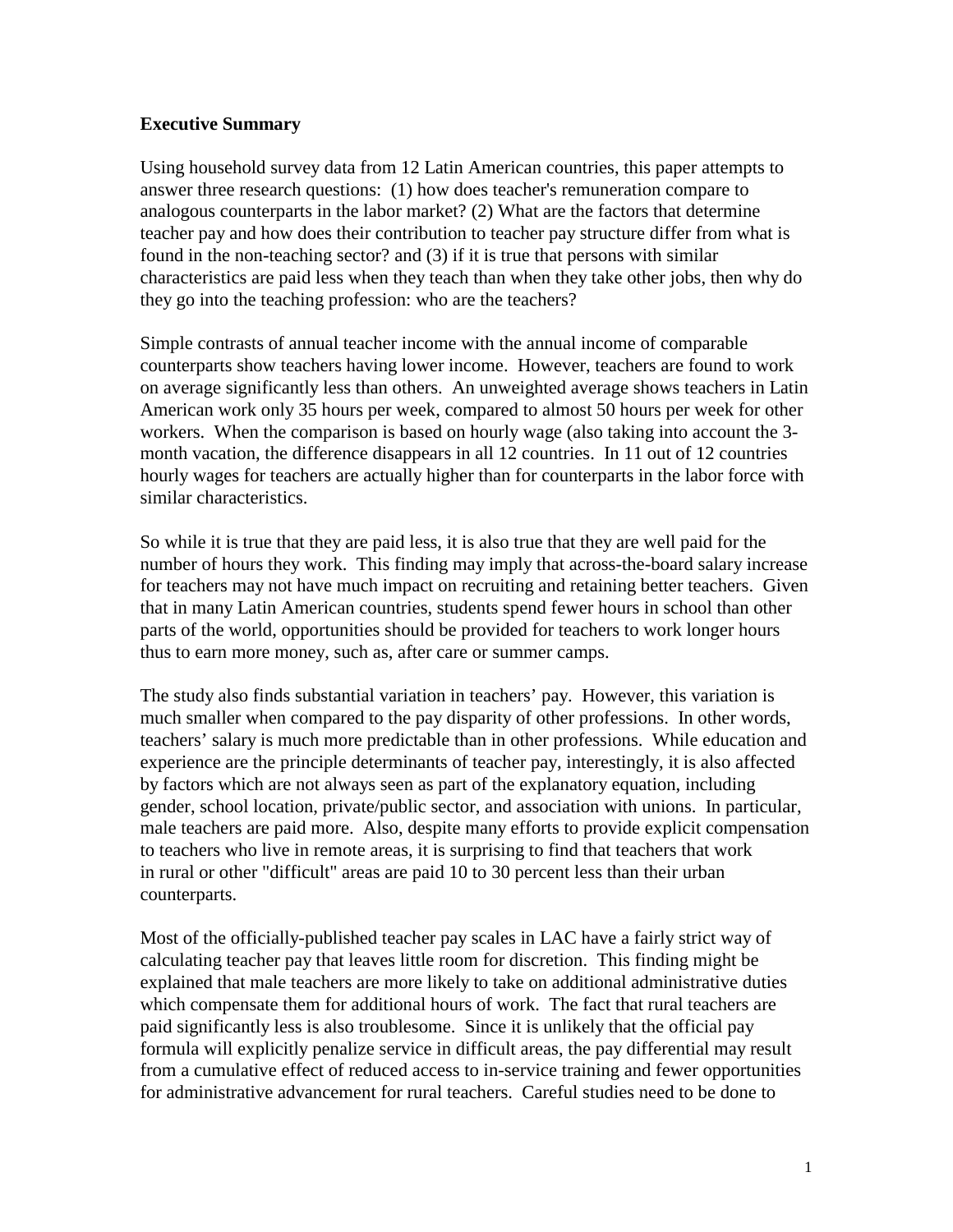### **Executive Summary**

Using household survey data from 12 Latin American countries, this paper attempts to answer three research questions: (1) how does teacher's remuneration compare to analogous counterparts in the labor market? (2) What are the factors that determine teacher pay and how does their contribution to teacher pay structure differ from what is found in the non-teaching sector? and (3) if it is true that persons with similar characteristics are paid less when they teach than when they take other jobs, then why do they go into the teaching profession: who are the teachers?

Simple contrasts of annual teacher income with the annual income of comparable counterparts show teachers having lower income. However, teachers are found to work on average significantly less than others. An unweighted average shows teachers in Latin American work only 35 hours per week, compared to almost 50 hours per week for other workers. When the comparison is based on hourly wage (also taking into account the 3 month vacation, the difference disappears in all 12 countries. In 11 out of 12 countries hourly wages for teachers are actually higher than for counterparts in the labor force with similar characteristics.

So while it is true that they are paid less, it is also true that they are well paid for the number of hours they work. This finding may imply that across-the-board salary increase for teachers may not have much impact on recruiting and retaining better teachers. Given that in many Latin American countries, students spend fewer hours in school than other parts of the world, opportunities should be provided for teachers to work longer hours thus to earn more money, such as, after care or summer camps.

The study also finds substantial variation in teachers' pay. However, this variation is much smaller when compared to the pay disparity of other professions. In other words, teachers' salary is much more predictable than in other professions. While education and experience are the principle determinants of teacher pay, interestingly, it is also affected by factors which are not always seen as part of the explanatory equation, including gender, school location, private/public sector, and association with unions. In particular, male teachers are paid more. Also, despite many efforts to provide explicit compensation to teachers who live in remote areas, it is surprising to find that teachers that work in rural or other "difficult" areas are paid 10 to 30 percent less than their urban counterparts.

Most of the officially-published teacher pay scales in LAC have a fairly strict way of calculating teacher pay that leaves little room for discretion. This finding might be explained that male teachers are more likely to take on additional administrative duties which compensate them for additional hours of work. The fact that rural teachers are paid significantly less is also troublesome. Since it is unlikely that the official pay formula will explicitly penalize service in difficult areas, the pay differential may result from a cumulative effect of reduced access to in-service training and fewer opportunities for administrative advancement for rural teachers. Careful studies need to be done to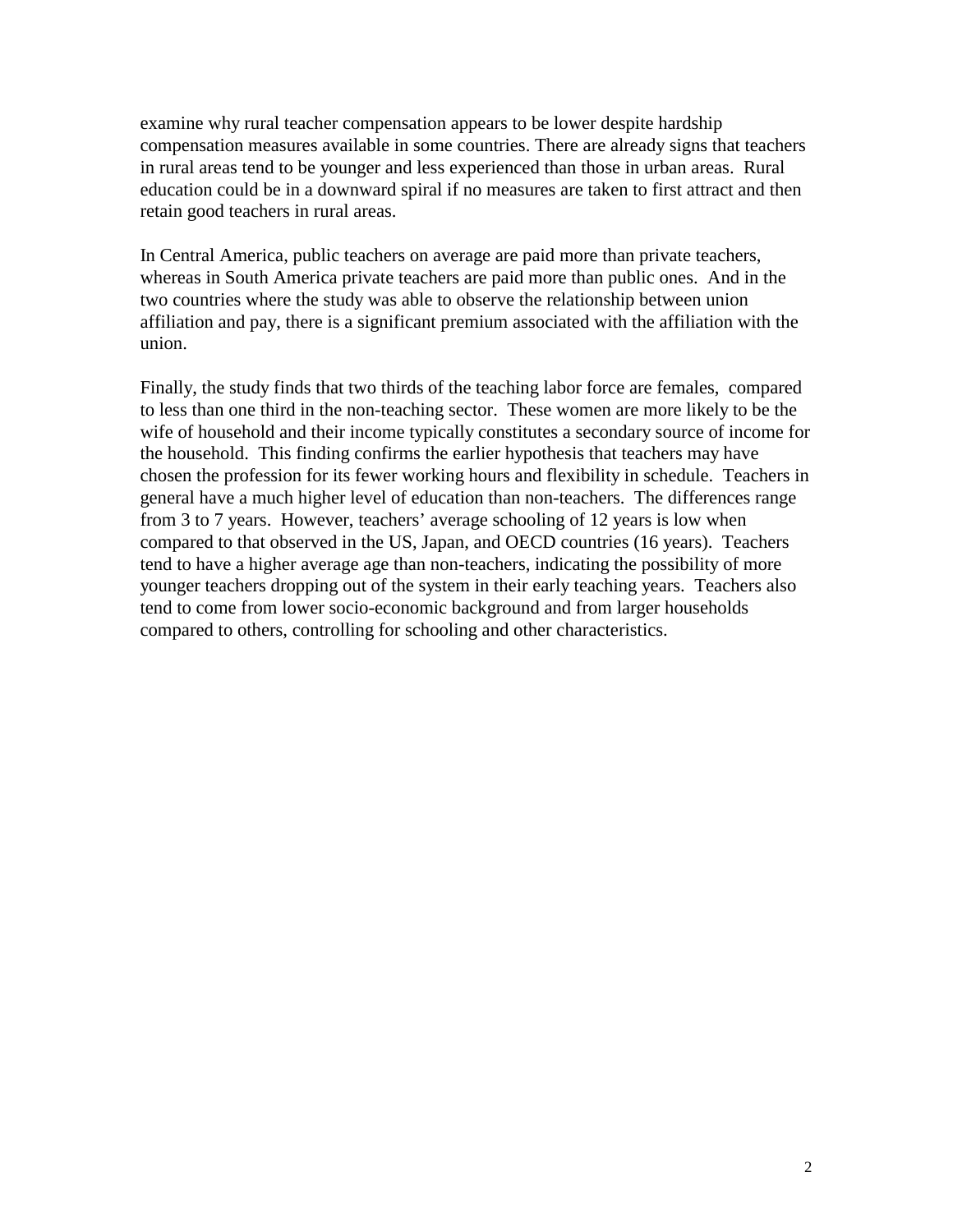examine why rural teacher compensation appears to be lower despite hardship compensation measures available in some countries. There are already signs that teachers in rural areas tend to be younger and less experienced than those in urban areas. Rural education could be in a downward spiral if no measures are taken to first attract and then retain good teachers in rural areas.

In Central America, public teachers on average are paid more than private teachers, whereas in South America private teachers are paid more than public ones. And in the two countries where the study was able to observe the relationship between union affiliation and pay, there is a significant premium associated with the affiliation with the union.

Finally, the study finds that two thirds of the teaching labor force are females, compared to less than one third in the non-teaching sector. These women are more likely to be the wife of household and their income typically constitutes a secondary source of income for the household. This finding confirms the earlier hypothesis that teachers may have chosen the profession for its fewer working hours and flexibility in schedule. Teachers in general have a much higher level of education than non-teachers. The differences range from 3 to 7 years. However, teachers' average schooling of 12 years is low when compared to that observed in the US, Japan, and OECD countries (16 years). Teachers tend to have a higher average age than non-teachers, indicating the possibility of more younger teachers dropping out of the system in their early teaching years. Teachers also tend to come from lower socio-economic background and from larger households compared to others, controlling for schooling and other characteristics.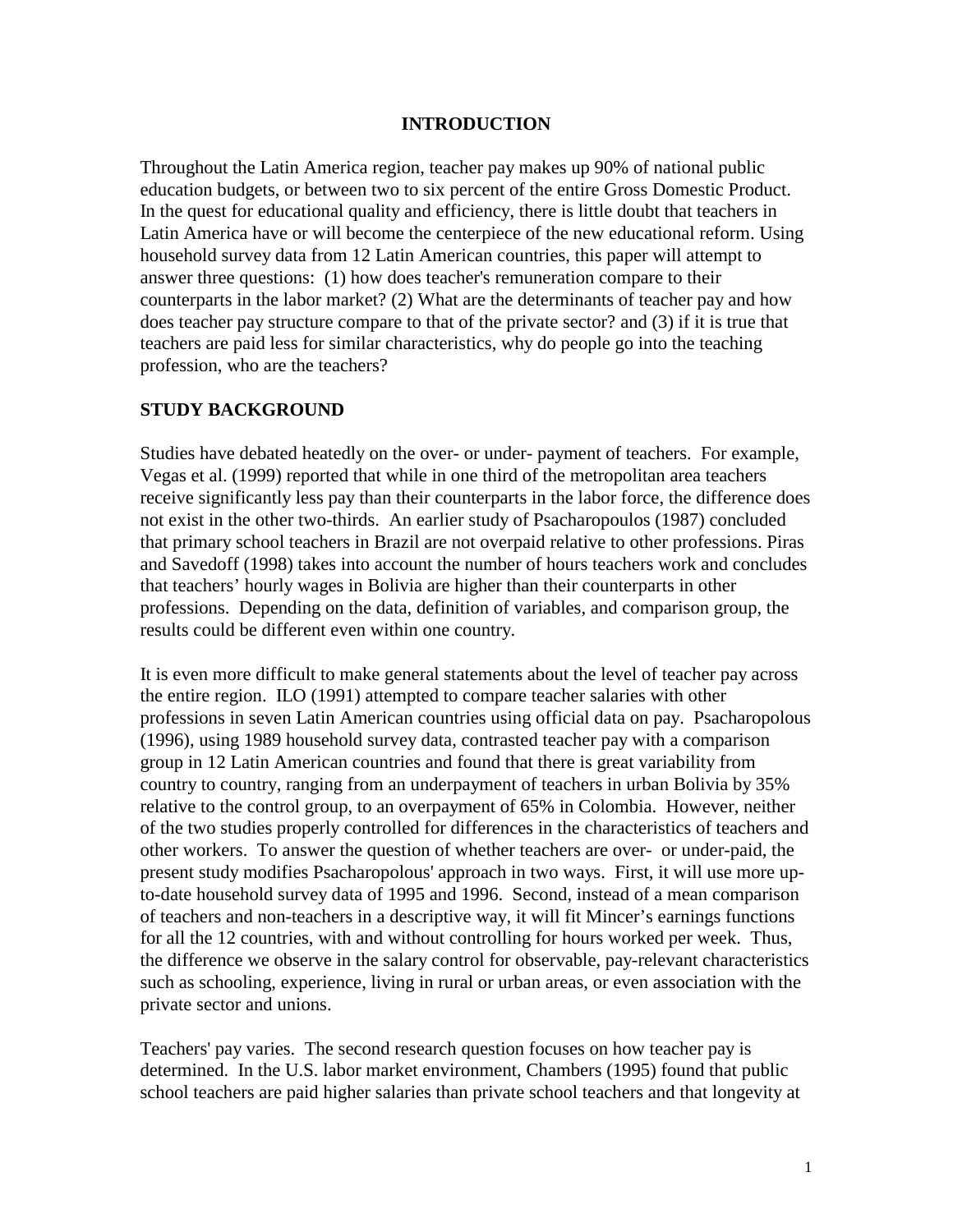### **INTRODUCTION**

Throughout the Latin America region, teacher pay makes up 90% of national public education budgets, or between two to six percent of the entire Gross Domestic Product. In the quest for educational quality and efficiency, there is little doubt that teachers in Latin America have or will become the centerpiece of the new educational reform. Using household survey data from 12 Latin American countries, this paper will attempt to answer three questions: (1) how does teacher's remuneration compare to their counterparts in the labor market? (2) What are the determinants of teacher pay and how does teacher pay structure compare to that of the private sector? and (3) if it is true that teachers are paid less for similar characteristics, why do people go into the teaching profession, who are the teachers?

#### **STUDY BACKGROUND**

Studies have debated heatedly on the over- or under- payment of teachers. For example, Vegas et al. (1999) reported that while in one third of the metropolitan area teachers receive significantly less pay than their counterparts in the labor force, the difference does not exist in the other two-thirds. An earlier study of Psacharopoulos (1987) concluded that primary school teachers in Brazil are not overpaid relative to other professions. Piras and Savedoff (1998) takes into account the number of hours teachers work and concludes that teachers' hourly wages in Bolivia are higher than their counterparts in other professions. Depending on the data, definition of variables, and comparison group, the results could be different even within one country.

It is even more difficult to make general statements about the level of teacher pay across the entire region. ILO (1991) attempted to compare teacher salaries with other professions in seven Latin American countries using official data on pay. Psacharopolous (1996), using 1989 household survey data, contrasted teacher pay with a comparison group in 12 Latin American countries and found that there is great variability from country to country, ranging from an underpayment of teachers in urban Bolivia by 35% relative to the control group, to an overpayment of 65% in Colombia. However, neither of the two studies properly controlled for differences in the characteristics of teachers and other workers. To answer the question of whether teachers are over- or under-paid, the present study modifies Psacharopolous' approach in two ways. First, it will use more upto-date household survey data of 1995 and 1996. Second, instead of a mean comparison of teachers and non-teachers in a descriptive way, it will fit Mincer's earnings functions for all the 12 countries, with and without controlling for hours worked per week. Thus, the difference we observe in the salary control for observable, pay-relevant characteristics such as schooling, experience, living in rural or urban areas, or even association with the private sector and unions.

Teachers' pay varies. The second research question focuses on how teacher pay is determined. In the U.S. labor market environment, Chambers (1995) found that public school teachers are paid higher salaries than private school teachers and that longevity at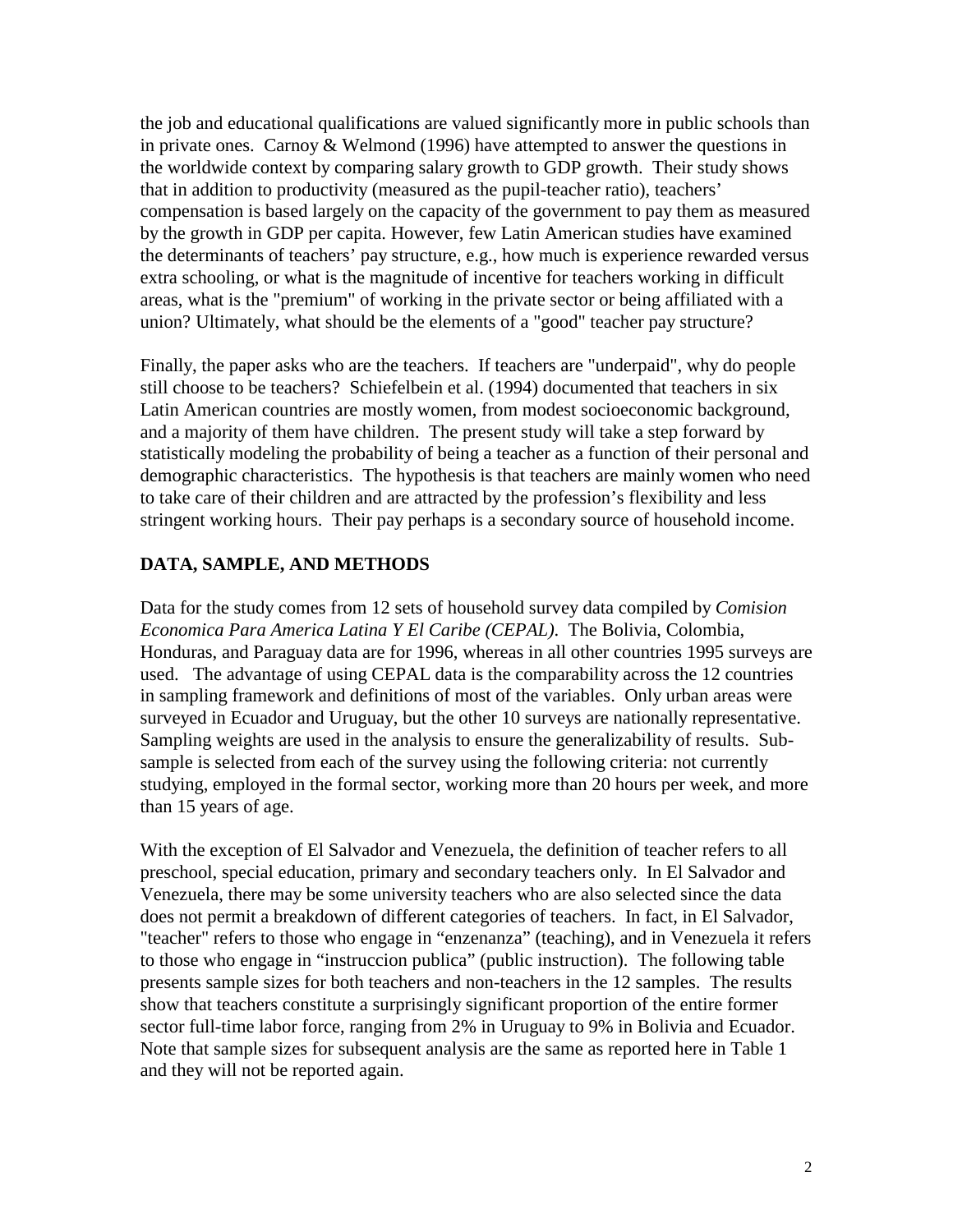the job and educational qualifications are valued significantly more in public schools than in private ones. Carnoy & Welmond (1996) have attempted to answer the questions in the worldwide context by comparing salary growth to GDP growth. Their study shows that in addition to productivity (measured as the pupil-teacher ratio), teachers' compensation is based largely on the capacity of the government to pay them as measured by the growth in GDP per capita. However, few Latin American studies have examined the determinants of teachers' pay structure, e.g., how much is experience rewarded versus extra schooling, or what is the magnitude of incentive for teachers working in difficult areas, what is the "premium" of working in the private sector or being affiliated with a union? Ultimately, what should be the elements of a "good" teacher pay structure?

Finally, the paper asks who are the teachers. If teachers are "underpaid", why do people still choose to be teachers? Schiefelbein et al. (1994) documented that teachers in six Latin American countries are mostly women, from modest socioeconomic background, and a majority of them have children. The present study will take a step forward by statistically modeling the probability of being a teacher as a function of their personal and demographic characteristics. The hypothesis is that teachers are mainly women who need to take care of their children and are attracted by the profession's flexibility and less stringent working hours. Their pay perhaps is a secondary source of household income.

### **DATA, SAMPLE, AND METHODS**

Data for the study comes from 12 sets of household survey data compiled by *Comision Economica Para America Latina Y El Caribe (CEPAL)*. The Bolivia, Colombia, Honduras, and Paraguay data are for 1996, whereas in all other countries 1995 surveys are used. The advantage of using CEPAL data is the comparability across the 12 countries in sampling framework and definitions of most of the variables. Only urban areas were surveyed in Ecuador and Uruguay, but the other 10 surveys are nationally representative. Sampling weights are used in the analysis to ensure the generalizability of results. Subsample is selected from each of the survey using the following criteria: not currently studying, employed in the formal sector, working more than 20 hours per week, and more than 15 years of age.

With the exception of El Salvador and Venezuela, the definition of teacher refers to all preschool, special education, primary and secondary teachers only. In El Salvador and Venezuela, there may be some university teachers who are also selected since the data does not permit a breakdown of different categories of teachers. In fact, in El Salvador, "teacher" refers to those who engage in "enzenanza" (teaching), and in Venezuela it refers to those who engage in "instruccion publica" (public instruction). The following table presents sample sizes for both teachers and non-teachers in the 12 samples. The results show that teachers constitute a surprisingly significant proportion of the entire former sector full-time labor force, ranging from 2% in Uruguay to 9% in Bolivia and Ecuador. Note that sample sizes for subsequent analysis are the same as reported here in Table 1 and they will not be reported again.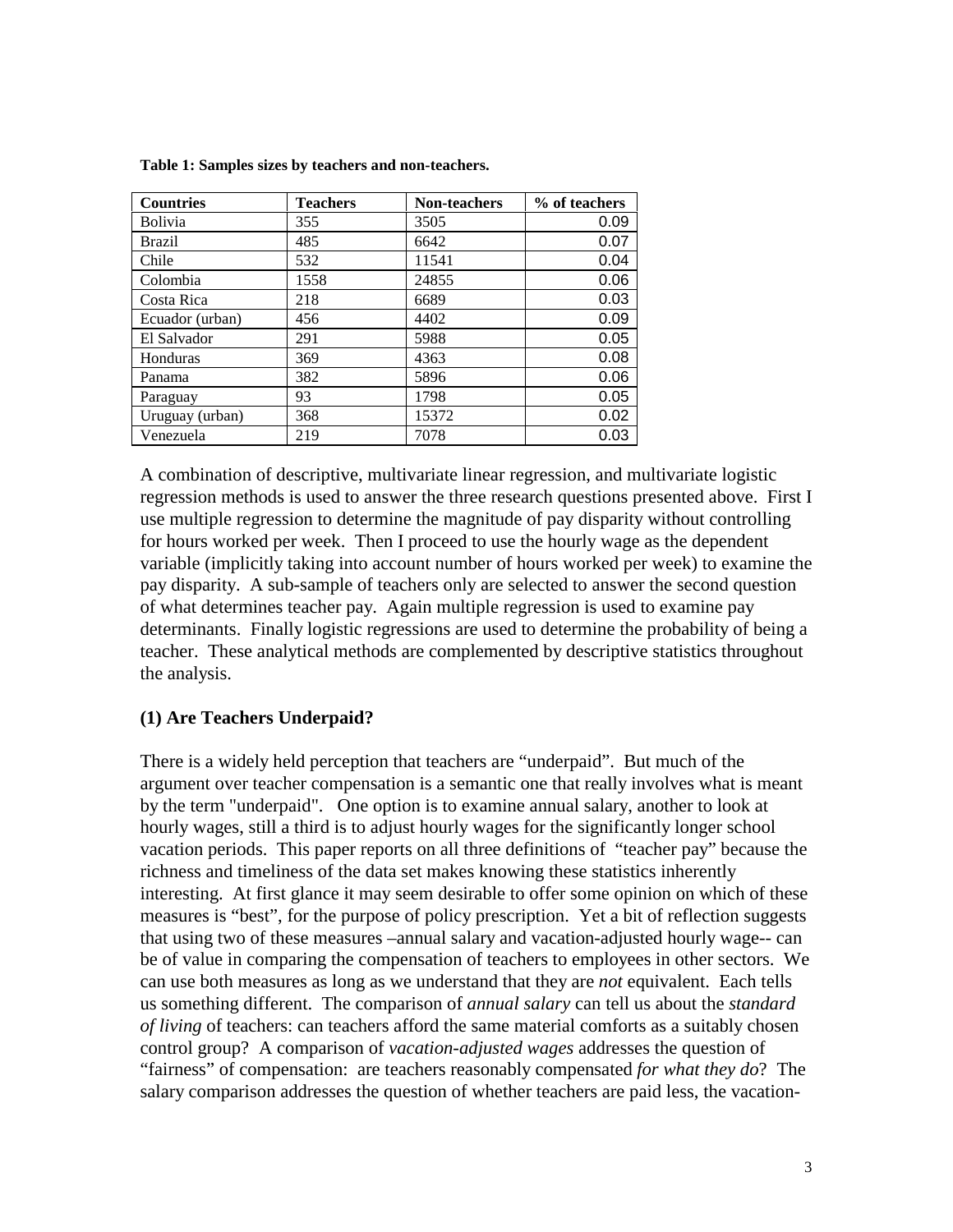| <b>Countries</b> | <b>Teachers</b> | Non-teachers | % of teachers |
|------------------|-----------------|--------------|---------------|
| <b>Bolivia</b>   | 355             | 3505         | 0.09          |
| <b>Brazil</b>    | 485             | 6642         | 0.07          |
| Chile            | 532             | 11541        | 0.04          |
| Colombia         | 1558            | 24855        | 0.06          |
| Costa Rica       | 218             | 6689         | 0.03          |
| Ecuador (urban)  | 456             | 4402         | 0.09          |
| El Salvador      | 291             | 5988         | 0.05          |
| Honduras         | 369             | 4363         | 0.08          |
| Panama           | 382             | 5896         | 0.06          |
| Paraguay         | 93              | 1798         | 0.05          |
| Uruguay (urban)  | 368             | 15372        | 0.02          |
| Venezuela        | 219             | 7078         | 0.03          |

**Table 1: Samples sizes by teachers and non-teachers.**

A combination of descriptive, multivariate linear regression, and multivariate logistic regression methods is used to answer the three research questions presented above. First I use multiple regression to determine the magnitude of pay disparity without controlling for hours worked per week. Then I proceed to use the hourly wage as the dependent variable (implicitly taking into account number of hours worked per week) to examine the pay disparity. A sub-sample of teachers only are selected to answer the second question of what determines teacher pay. Again multiple regression is used to examine pay determinants. Finally logistic regressions are used to determine the probability of being a teacher. These analytical methods are complemented by descriptive statistics throughout the analysis.

### **(1) Are Teachers Underpaid?**

There is a widely held perception that teachers are "underpaid". But much of the argument over teacher compensation is a semantic one that really involves what is meant by the term "underpaid". One option is to examine annual salary, another to look at hourly wages, still a third is to adjust hourly wages for the significantly longer school vacation periods. This paper reports on all three definitions of "teacher pay" because the richness and timeliness of the data set makes knowing these statistics inherently interesting. At first glance it may seem desirable to offer some opinion on which of these measures is "best", for the purpose of policy prescription. Yet a bit of reflection suggests that using two of these measures –annual salary and vacation-adjusted hourly wage-- can be of value in comparing the compensation of teachers to employees in other sectors. We can use both measures as long as we understand that they are *not* equivalent. Each tells us something different. The comparison of *annual salary* can tell us about the *standard of living* of teachers: can teachers afford the same material comforts as a suitably chosen control group? A comparison of *vacation-adjusted wages* addresses the question of "fairness" of compensation: are teachers reasonably compensated *for what they do*? The salary comparison addresses the question of whether teachers are paid less, the vacation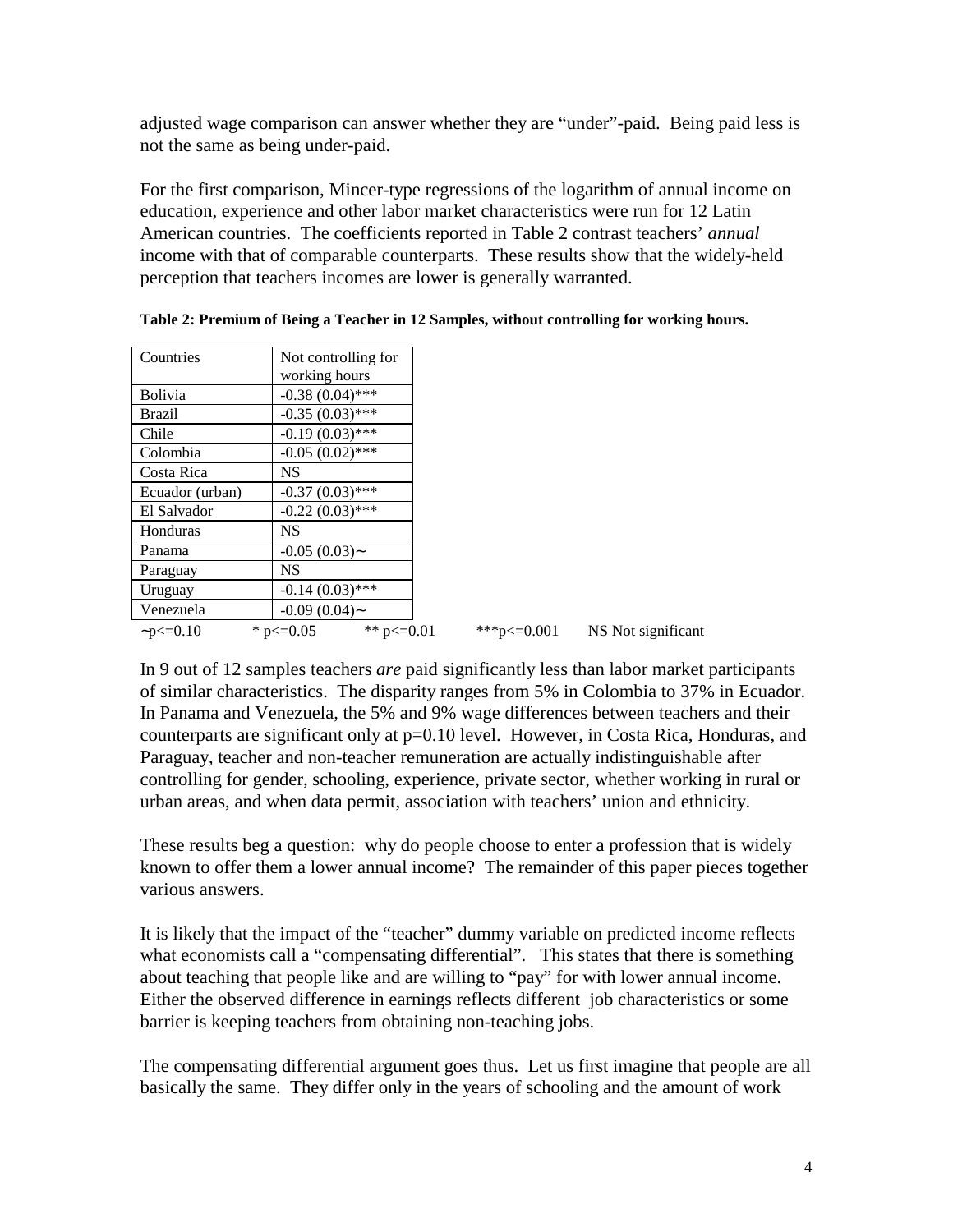adjusted wage comparison can answer whether they are "under"-paid. Being paid less is not the same as being under-paid.

For the first comparison, Mincer-type regressions of the logarithm of annual income on education, experience and other labor market characteristics were run for 12 Latin American countries. The coefficients reported in Table 2 contrast teachers' *annual* income with that of comparable counterparts. These results show that the widely-held perception that teachers incomes are lower is generally warranted.

| Countries       | Not controlling for               |                   |                    |
|-----------------|-----------------------------------|-------------------|--------------------|
|                 | working hours                     |                   |                    |
| <b>Bolivia</b>  | $-0.38(0.04)$ ***                 |                   |                    |
| <b>Brazil</b>   | $-0.35(0.03)$ ***                 |                   |                    |
| Chile           | $-0.19(0.03)$ ***                 |                   |                    |
| Colombia        | $-0.05(0.02)$ ***                 |                   |                    |
| Costa Rica      | <b>NS</b>                         |                   |                    |
| Ecuador (urban) | $-0.37(0.03)$ ***                 |                   |                    |
| El Salvador     | $-0.22(0.03)$ ***                 |                   |                    |
| Honduras        | <b>NS</b>                         |                   |                    |
| Panama          | $-0.05(0.03)$ ~                   |                   |                    |
| Paraguay        | <b>NS</b>                         |                   |                    |
| Uruguay         | $-0.14(0.03)$ ***                 |                   |                    |
| Venezuela       | $-0.09(0.04)$ ~                   |                   |                    |
| $-p \le 0.10$   | ** $p \le 0.01$<br>* $p \le 0.05$ | ***p $\leq 0.001$ | NS Not significant |

**Table 2: Premium of Being a Teacher in 12 Samples, without controlling for working hours.**

In 9 out of 12 samples teachers *are* paid significantly less than labor market participants of similar characteristics. The disparity ranges from 5% in Colombia to 37% in Ecuador. In Panama and Venezuela, the 5% and 9% wage differences between teachers and their counterparts are significant only at p=0.10 level. However, in Costa Rica, Honduras, and Paraguay, teacher and non-teacher remuneration are actually indistinguishable after controlling for gender, schooling, experience, private sector, whether working in rural or urban areas, and when data permit, association with teachers' union and ethnicity.

These results beg a question: why do people choose to enter a profession that is widely known to offer them a lower annual income? The remainder of this paper pieces together various answers.

It is likely that the impact of the "teacher" dummy variable on predicted income reflects what economists call a "compensating differential". This states that there is something about teaching that people like and are willing to "pay" for with lower annual income. Either the observed difference in earnings reflects different job characteristics or some barrier is keeping teachers from obtaining non-teaching jobs.

The compensating differential argument goes thus. Let us first imagine that people are all basically the same. They differ only in the years of schooling and the amount of work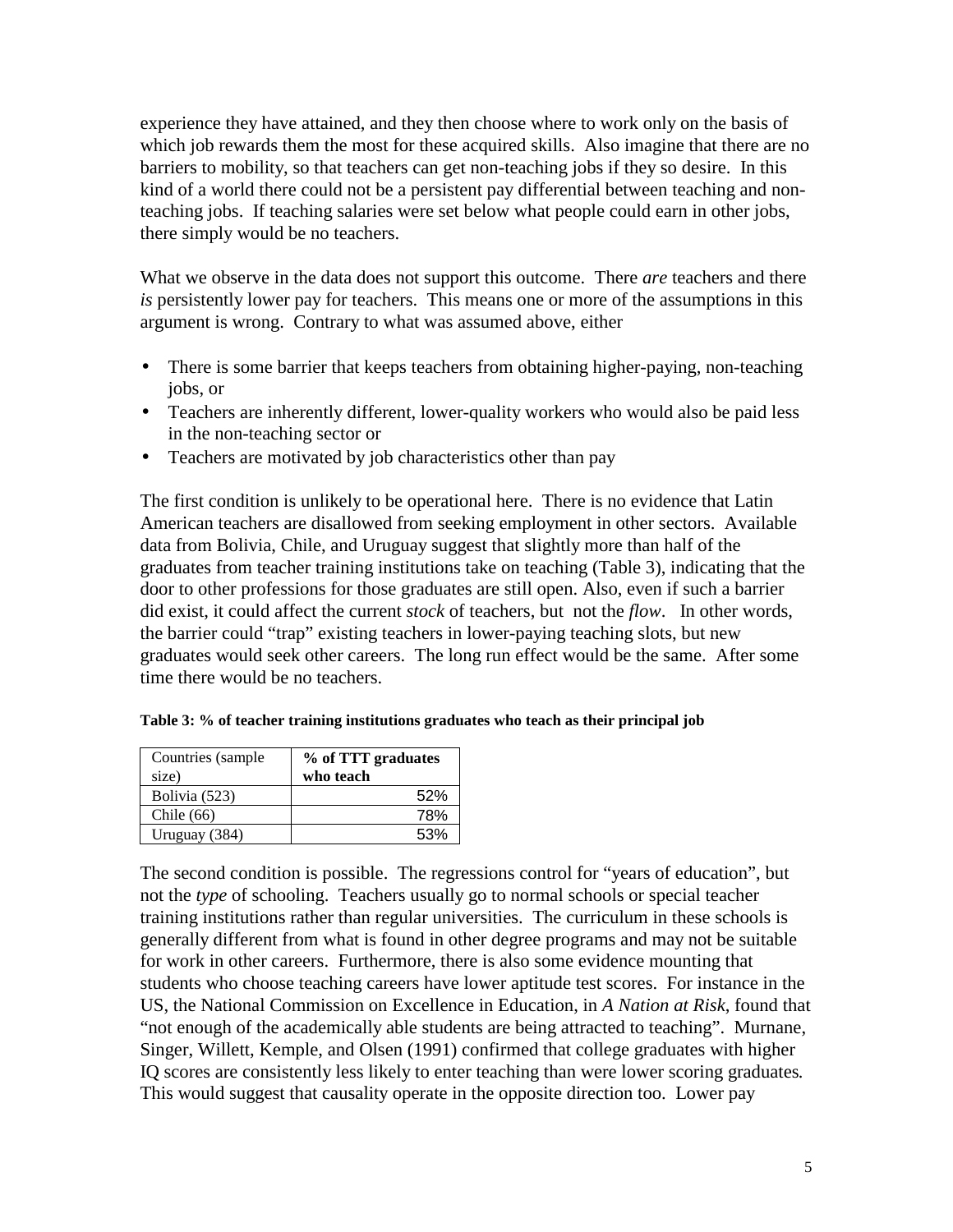experience they have attained, and they then choose where to work only on the basis of which job rewards them the most for these acquired skills. Also imagine that there are no barriers to mobility, so that teachers can get non-teaching jobs if they so desire. In this kind of a world there could not be a persistent pay differential between teaching and nonteaching jobs. If teaching salaries were set below what people could earn in other jobs, there simply would be no teachers.

What we observe in the data does not support this outcome. There *are* teachers and there *is* persistently lower pay for teachers. This means one or more of the assumptions in this argument is wrong. Contrary to what was assumed above, either

- There is some barrier that keeps teachers from obtaining higher-paying, non-teaching jobs, or
- Teachers are inherently different, lower-quality workers who would also be paid less in the non-teaching sector or
- Teachers are motivated by job characteristics other than pay

The first condition is unlikely to be operational here. There is no evidence that Latin American teachers are disallowed from seeking employment in other sectors. Available data from Bolivia, Chile, and Uruguay suggest that slightly more than half of the graduates from teacher training institutions take on teaching (Table 3), indicating that the door to other professions for those graduates are still open. Also, even if such a barrier did exist, it could affect the current *stock* of teachers, but not the *flow*. In other words, the barrier could "trap" existing teachers in lower-paying teaching slots, but new graduates would seek other careers. The long run effect would be the same. After some time there would be no teachers.

| Countries (sample<br>size) | % of TTT graduates<br>who teach |  |  |
|----------------------------|---------------------------------|--|--|
| Bolivia (523)              | 52%                             |  |  |
| Chile $(66)$               | 78%                             |  |  |
| Uruguay (384)              | 53%                             |  |  |

**Table 3: % of teacher training institutions graduates who teach as their principal job**

The second condition is possible. The regressions control for "years of education", but not the *type* of schooling. Teachers usually go to normal schools or special teacher training institutions rather than regular universities. The curriculum in these schools is generally different from what is found in other degree programs and may not be suitable for work in other careers. Furthermore, there is also some evidence mounting that students who choose teaching careers have lower aptitude test scores. For instance in the US, the National Commission on Excellence in Education, in *A Nation at Risk*, found that "not enough of the academically able students are being attracted to teaching". Murnane, Singer, Willett, Kemple, and Olsen (1991) confirmed that college graduates with higher IQ scores are consistently less likely to enter teaching than were lower scoring graduates*.* This would suggest that causality operate in the opposite direction too. Lower pay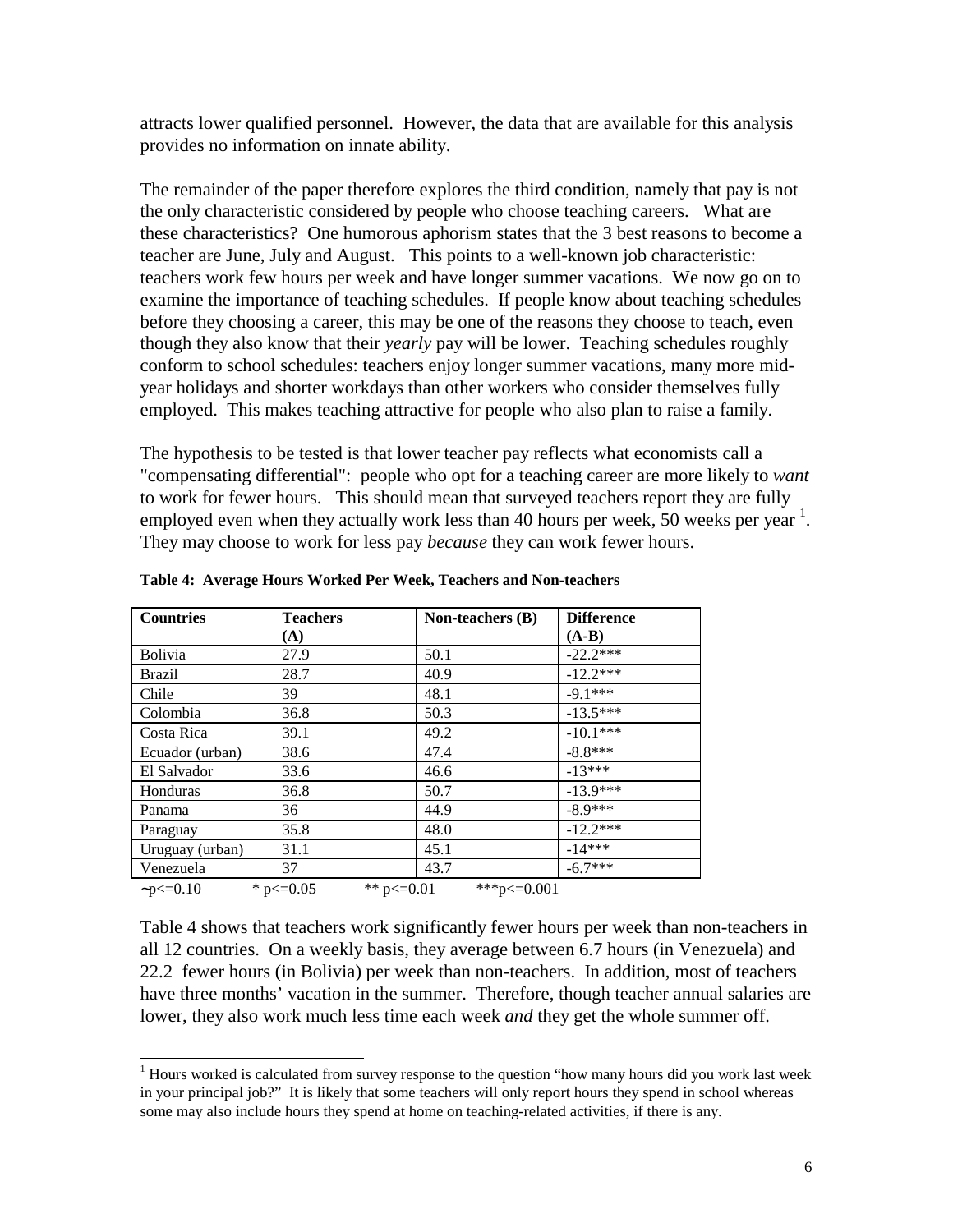attracts lower qualified personnel. However, the data that are available for this analysis provides no information on innate ability.

The remainder of the paper therefore explores the third condition, namely that pay is not the only characteristic considered by people who choose teaching careers. What are these characteristics? One humorous aphorism states that the 3 best reasons to become a teacher are June, July and August. This points to a well-known job characteristic: teachers work few hours per week and have longer summer vacations. We now go on to examine the importance of teaching schedules. If people know about teaching schedules before they choosing a career, this may be one of the reasons they choose to teach, even though they also know that their *yearly* pay will be lower. Teaching schedules roughly conform to school schedules: teachers enjoy longer summer vacations, many more midyear holidays and shorter workdays than other workers who consider themselves fully employed. This makes teaching attractive for people who also plan to raise a family.

The hypothesis to be tested is that lower teacher pay reflects what economists call a "compensating differential": people who opt for a teaching career are more likely to *want* to work for fewer hours. This should mean that surveyed teachers report they are fully employed even when they actually work less than 40 hours per week, 50 weeks per year  $<sup>1</sup>$ .</sup> They may choose to work for less pay *because* they can work fewer hours.

| <b>Countries</b> | <b>Teachers</b> | Non-teachers (B)               | <b>Difference</b> |
|------------------|-----------------|--------------------------------|-------------------|
|                  | (A)             |                                | $(A-B)$           |
| <b>Bolivia</b>   | 27.9            | 50.1                           | $-22.2***$        |
| <b>Brazil</b>    | 28.7            | 40.9                           | $-12.2***$        |
| Chile            | 39              | 48.1                           | $-9.1***$         |
| Colombia         | 36.8            | 50.3                           | $-13.5***$        |
| Costa Rica       | 39.1            | 49.2                           | $-10.1***$        |
| Ecuador (urban)  | 38.6            | 47.4                           | $-8.8***$         |
| El Salvador      | 33.6            | 46.6                           | $-13***$          |
| Honduras         | 36.8            | 50.7                           | $-13.9***$        |
| Panama           | 36              | 44.9                           | $-8.9***$         |
| Paraguay         | 35.8            | 48.0                           | $-12.2***$        |
| Uruguay (urban)  | 31.1            | 45.1                           | $-14***$          |
| Venezuela        | 37              | 43.7                           | $-6.7***$         |
| $-p < 0.10$      | * $p \le 0.05$  | ** $p \le 0.01$<br>***p<=0.001 |                   |

 $\overline{a}$ 

**Table 4: Average Hours Worked Per Week, Teachers and Non-teachers**

Table 4 shows that teachers work significantly fewer hours per week than non-teachers in all 12 countries. On a weekly basis, they average between 6.7 hours (in Venezuela) and 22.2 fewer hours (in Bolivia) per week than non-teachers. In addition, most of teachers have three months' vacation in the summer. Therefore, though teacher annual salaries are lower, they also work much less time each week *and* they get the whole summer off.

 $1$  Hours worked is calculated from survey response to the question "how many hours did you work last week in your principal job?" It is likely that some teachers will only report hours they spend in school whereas some may also include hours they spend at home on teaching-related activities, if there is any.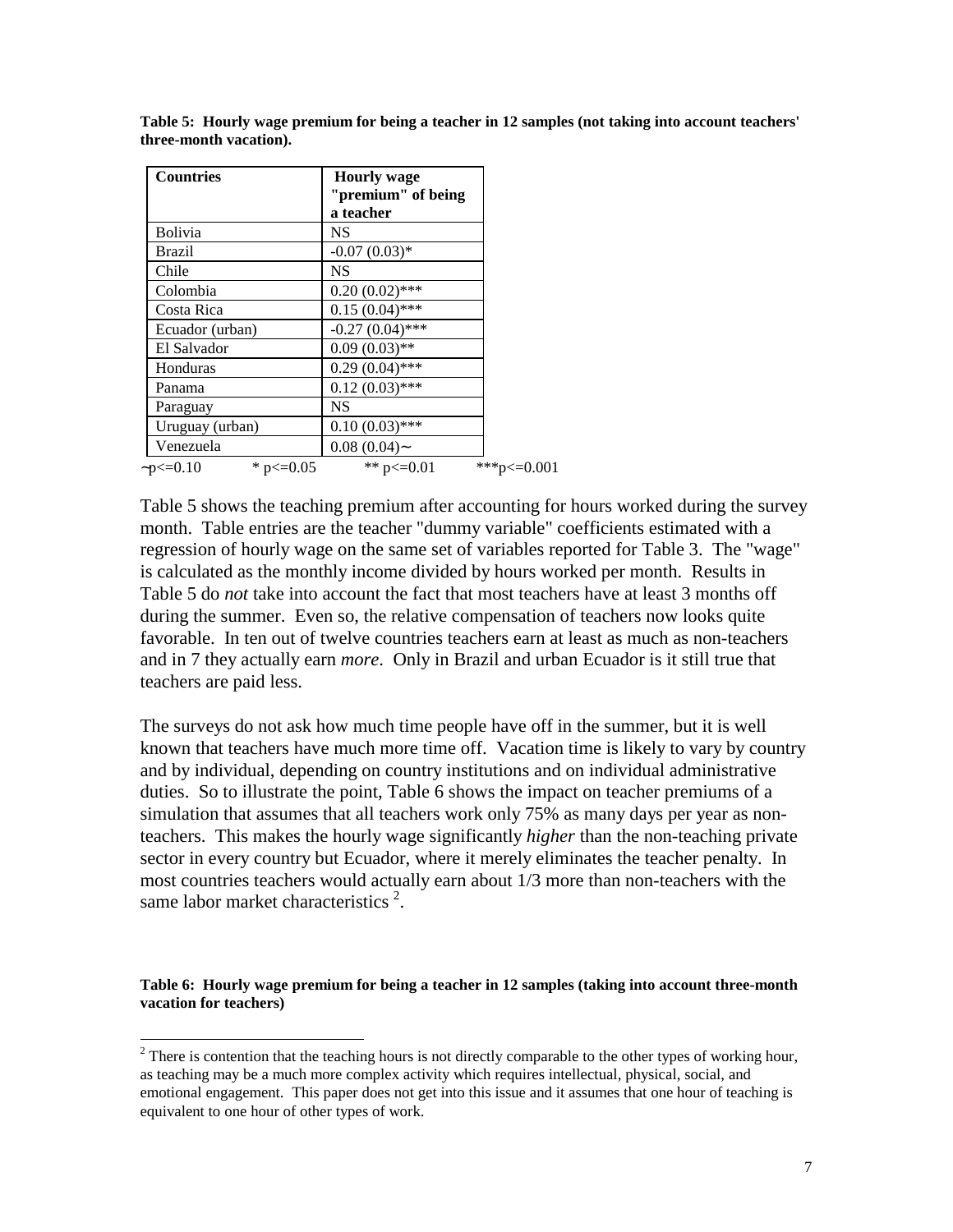| <b>Countries</b>                | <b>Hourly wage</b><br>"premium" of being |             |
|---------------------------------|------------------------------------------|-------------|
|                                 | a teacher                                |             |
| <b>Bolivia</b>                  | NS                                       |             |
| Brazil                          | $-0.07(0.03)*$                           |             |
| Chile                           | NS                                       |             |
| Colombia                        | $0.20(0.02)$ ***                         |             |
| Costa Rica                      | $0.15(0.04)$ ***                         |             |
| Ecuador (urban)                 | $-0.27(0.04)$ ***                        |             |
| El Salvador                     | $0.09(0.03)$ **                          |             |
| Honduras                        | $0.29(0.04)$ ***                         |             |
| Panama                          | $0.12(0.03)$ ***                         |             |
| Paraguay                        | NS                                       |             |
| Uruguay (urban)                 | $0.10(0.03)$ ***                         |             |
| Venezuela                       | $0.08(0.04)$ ~                           |             |
| * $p \le 0.05$<br>$-p \le 0.10$ | ** $p \le 0.01$                          | ***p<=0.001 |

**Table 5: Hourly wage premium for being a teacher in 12 samples (not taking into account teachers' three-month vacation).**

Table 5 shows the teaching premium after accounting for hours worked during the survey month. Table entries are the teacher "dummy variable" coefficients estimated with a regression of hourly wage on the same set of variables reported for Table 3. The "wage" is calculated as the monthly income divided by hours worked per month. Results in Table 5 do *not* take into account the fact that most teachers have at least 3 months off during the summer. Even so, the relative compensation of teachers now looks quite favorable. In ten out of twelve countries teachers earn at least as much as non-teachers and in 7 they actually earn *more*. Only in Brazil and urban Ecuador is it still true that teachers are paid less.

The surveys do not ask how much time people have off in the summer, but it is well known that teachers have much more time off. Vacation time is likely to vary by country and by individual, depending on country institutions and on individual administrative duties. So to illustrate the point, Table 6 shows the impact on teacher premiums of a simulation that assumes that all teachers work only 75% as many days per year as nonteachers. This makes the hourly wage significantly *higher* than the non-teaching private sector in every country but Ecuador, where it merely eliminates the teacher penalty. In most countries teachers would actually earn about 1/3 more than non-teachers with the same labor market characteristics  $2$ .

**Table 6: Hourly wage premium for being a teacher in 12 samples (taking into account three-month vacation for teachers)**

<sup>&</sup>lt;sup>2</sup> There is contention that the teaching hours is not directly comparable to the other types of working hour, as teaching may be a much more complex activity which requires intellectual, physical, social, and emotional engagement. This paper does not get into this issue and it assumes that one hour of teaching is equivalent to one hour of other types of work.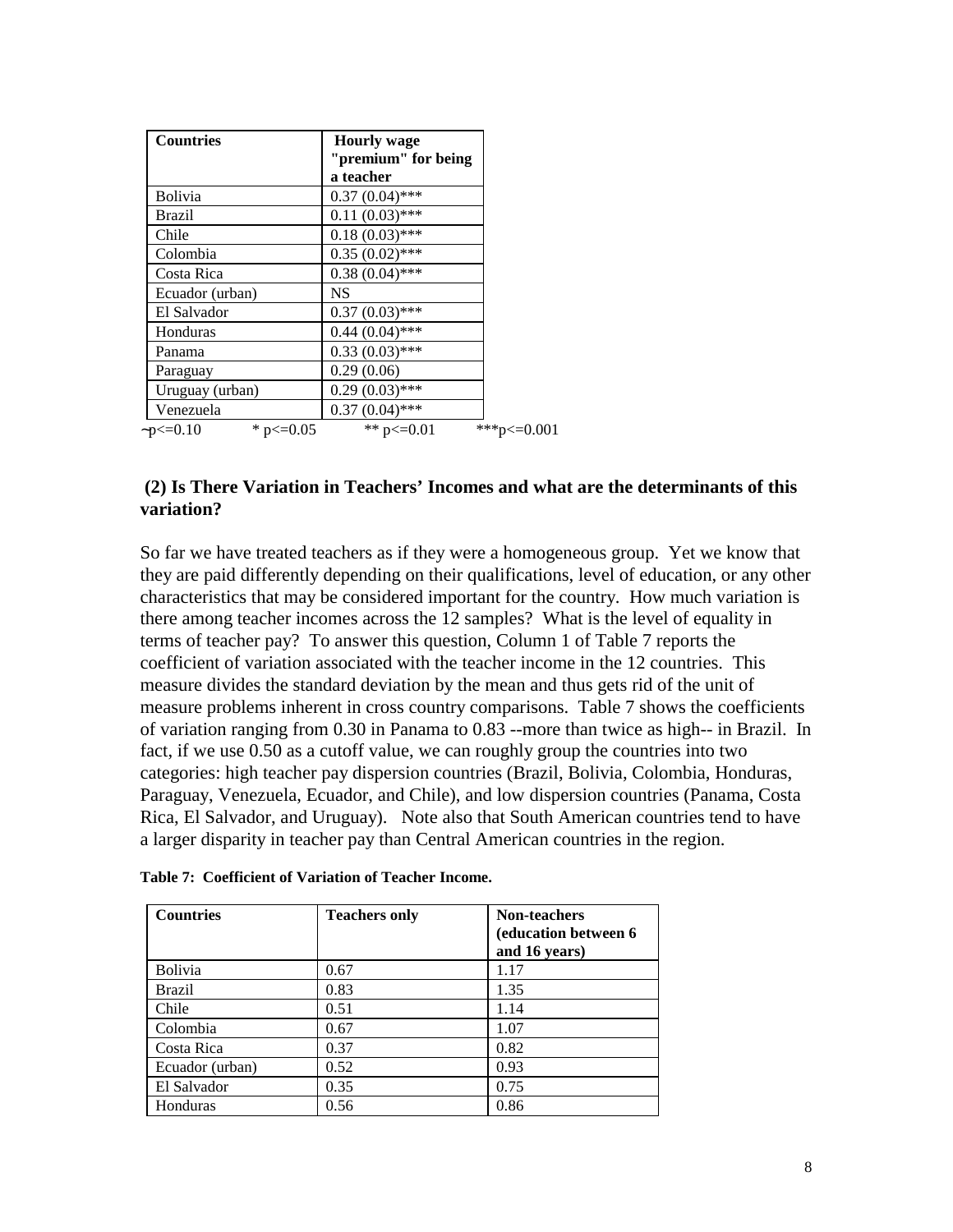| <b>Countries</b>                | <b>Hourly</b> wage<br>"premium" for being |             |
|---------------------------------|-------------------------------------------|-------------|
|                                 | a teacher                                 |             |
| <b>Bolivia</b>                  | $0.37(0.04)$ ***                          |             |
| Brazil                          | $0.11(0.03)$ ***                          |             |
| Chile                           | $0.18(0.03)$ ***                          |             |
| Colombia                        | $0.35(0.02)$ ***                          |             |
| Costa Rica                      | $0.38(0.04)$ ***                          |             |
| Ecuador (urban)                 | <b>NS</b>                                 |             |
| El Salvador                     | $0.37(0.03)$ ***                          |             |
| Honduras                        | $0.44(0.04)$ ***                          |             |
| Panama                          | $0.33(0.03)$ ***                          |             |
| Paraguay                        | 0.29(0.06)                                |             |
| Uruguay (urban)                 | $0.29(0.03)$ ***                          |             |
| Venezuela                       | $0.37(0.04)$ ***                          |             |
| * $p \le 0.05$<br>$-p < = 0.10$ | ** $p \le 0.01$                           | ***p<=0.001 |

### **(2) Is There Variation in Teachers' Incomes and what are the determinants of this variation?**

So far we have treated teachers as if they were a homogeneous group. Yet we know that they are paid differently depending on their qualifications, level of education, or any other characteristics that may be considered important for the country. How much variation is there among teacher incomes across the 12 samples? What is the level of equality in terms of teacher pay? To answer this question, Column 1 of Table 7 reports the coefficient of variation associated with the teacher income in the 12 countries. This measure divides the standard deviation by the mean and thus gets rid of the unit of measure problems inherent in cross country comparisons. Table 7 shows the coefficients of variation ranging from 0.30 in Panama to 0.83 --more than twice as high-- in Brazil. In fact, if we use 0.50 as a cutoff value, we can roughly group the countries into two categories: high teacher pay dispersion countries (Brazil, Bolivia, Colombia, Honduras, Paraguay, Venezuela, Ecuador, and Chile), and low dispersion countries (Panama, Costa Rica, El Salvador, and Uruguay). Note also that South American countries tend to have a larger disparity in teacher pay than Central American countries in the region.

| Table 7: Coefficient of Variation of Teacher Income. |  |
|------------------------------------------------------|--|
|------------------------------------------------------|--|

| <b>Countries</b> | <b>Teachers only</b> | <b>Non-teachers</b><br><b>(education between 6)</b><br>and 16 years) |
|------------------|----------------------|----------------------------------------------------------------------|
| <b>Bolivia</b>   | 0.67                 | 1.17                                                                 |
| Brazil           | 0.83                 | 1.35                                                                 |
| Chile            | 0.51                 | 1.14                                                                 |
| Colombia         | 0.67                 | 1.07                                                                 |
| Costa Rica       | 0.37                 | 0.82                                                                 |
| Ecuador (urban)  | 0.52                 | 0.93                                                                 |
| El Salvador      | 0.35                 | 0.75                                                                 |
| Honduras         | 0.56                 | 0.86                                                                 |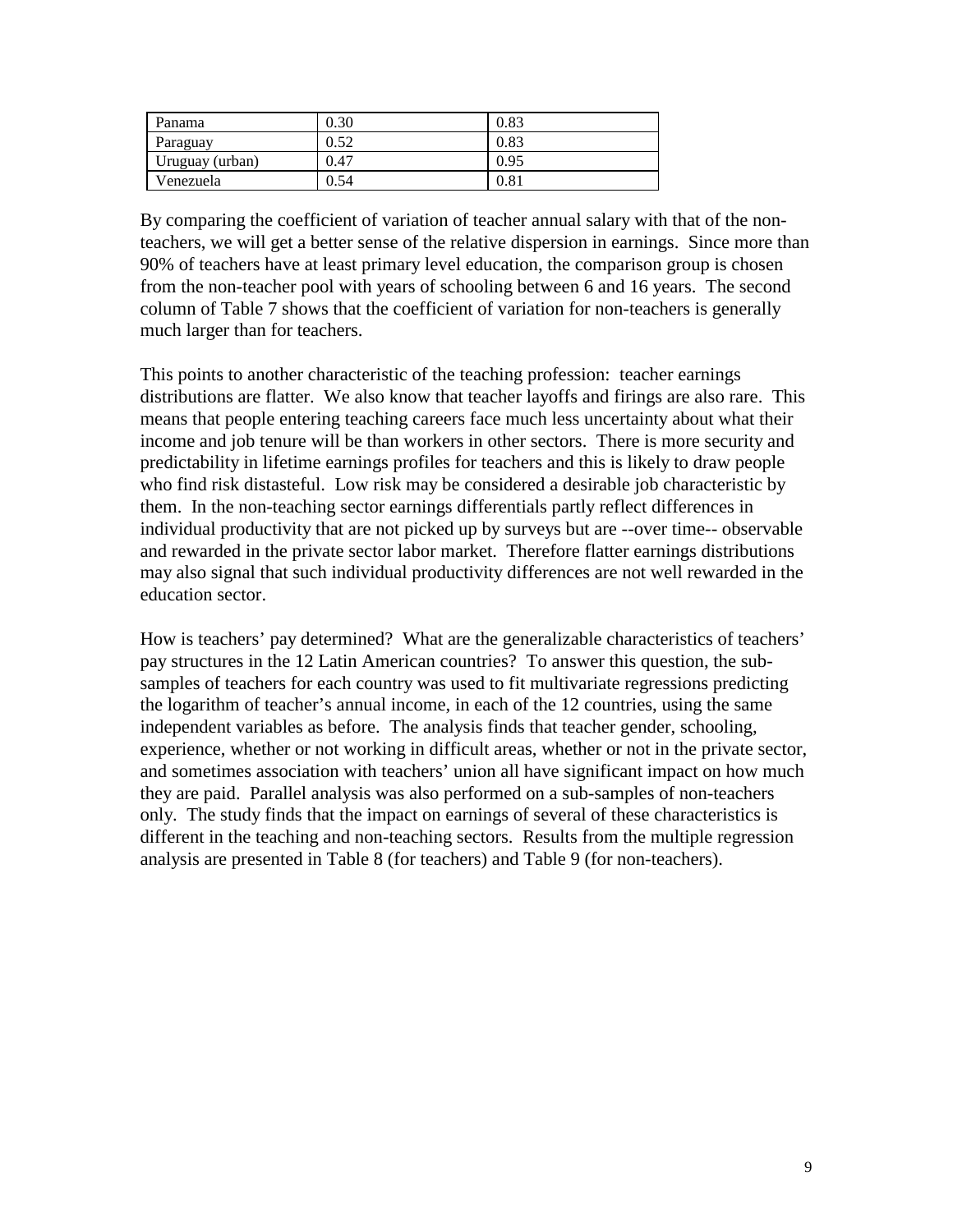| Panama          | 0.30 | 0.83 |
|-----------------|------|------|
| Paraguay        | 0.52 | 0.83 |
| Uruguay (urban) | 0.47 | 0.95 |
| Venezuela       | J.54 | 0.81 |

By comparing the coefficient of variation of teacher annual salary with that of the nonteachers, we will get a better sense of the relative dispersion in earnings. Since more than 90% of teachers have at least primary level education, the comparison group is chosen from the non-teacher pool with years of schooling between 6 and 16 years. The second column of Table 7 shows that the coefficient of variation for non-teachers is generally much larger than for teachers.

This points to another characteristic of the teaching profession: teacher earnings distributions are flatter. We also know that teacher layoffs and firings are also rare. This means that people entering teaching careers face much less uncertainty about what their income and job tenure will be than workers in other sectors. There is more security and predictability in lifetime earnings profiles for teachers and this is likely to draw people who find risk distasteful. Low risk may be considered a desirable job characteristic by them. In the non-teaching sector earnings differentials partly reflect differences in individual productivity that are not picked up by surveys but are --over time-- observable and rewarded in the private sector labor market. Therefore flatter earnings distributions may also signal that such individual productivity differences are not well rewarded in the education sector.

How is teachers' pay determined? What are the generalizable characteristics of teachers' pay structures in the 12 Latin American countries? To answer this question, the subsamples of teachers for each country was used to fit multivariate regressions predicting the logarithm of teacher's annual income, in each of the 12 countries, using the same independent variables as before. The analysis finds that teacher gender, schooling, experience, whether or not working in difficult areas, whether or not in the private sector, and sometimes association with teachers' union all have significant impact on how much they are paid. Parallel analysis was also performed on a sub-samples of non-teachers only. The study finds that the impact on earnings of several of these characteristics is different in the teaching and non-teaching sectors. Results from the multiple regression analysis are presented in Table 8 (for teachers) and Table 9 (for non-teachers).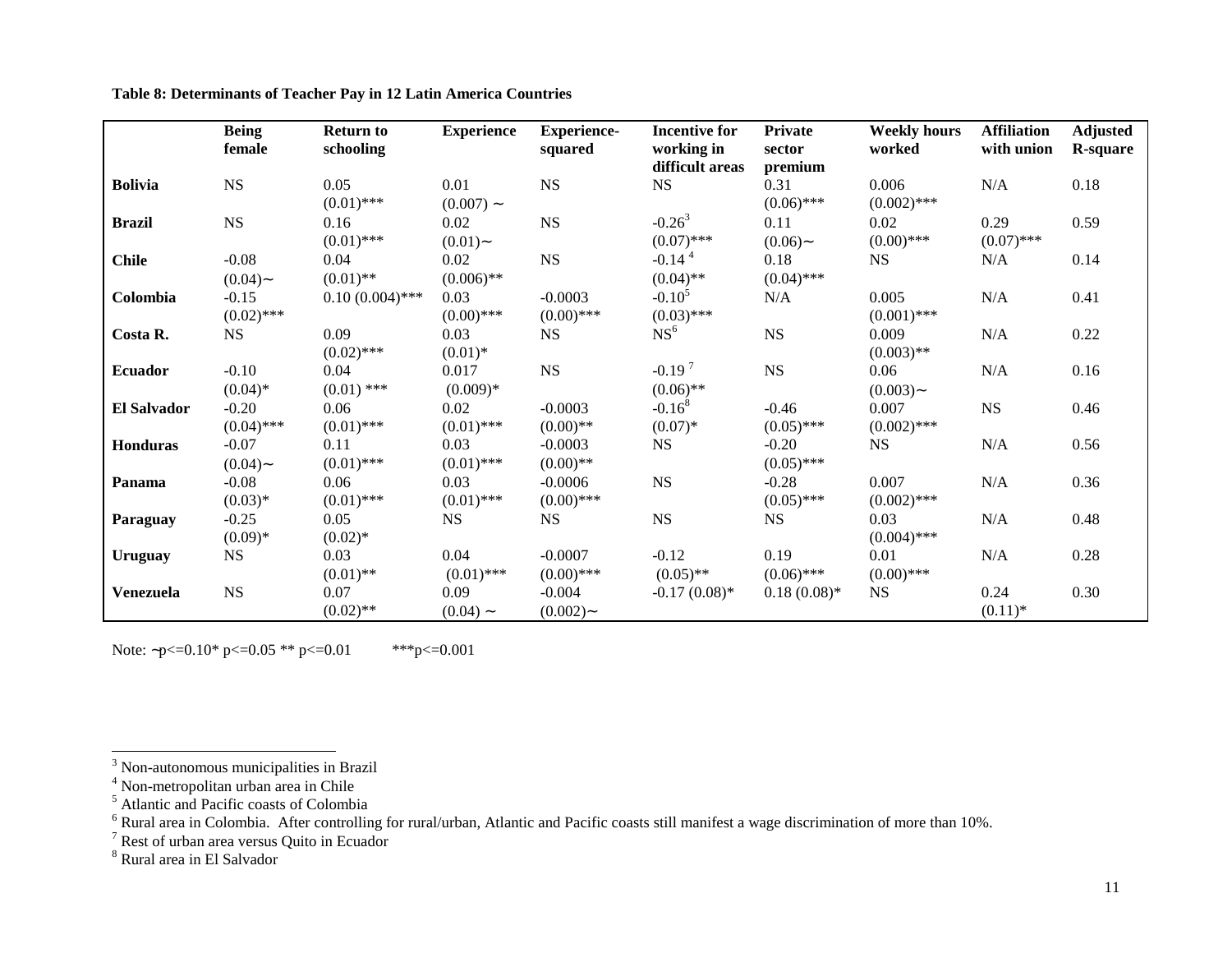|                | <b>Being</b><br>female  | <b>Return to</b><br>schooling | <b>Experience</b>    | <b>Experience-</b><br>squared | <b>Incentive for</b><br>working in<br>difficult areas | <b>Private</b><br>sector<br>premium | <b>Weekly hours</b><br>worked | <b>Affiliation</b><br>with union | <b>Adjusted</b><br><b>R-square</b> |
|----------------|-------------------------|-------------------------------|----------------------|-------------------------------|-------------------------------------------------------|-------------------------------------|-------------------------------|----------------------------------|------------------------------------|
| <b>Bolivia</b> | $_{\rm NS}$             | 0.05<br>$(0.01)$ ***          | 0.01<br>$(0.007)$ ~  | <b>NS</b>                     | <b>NS</b>                                             | 0.31<br>$(0.06)$ ***                | 0.006<br>$(0.002)$ ***        | N/A                              | 0.18                               |
| <b>Brazil</b>  | $_{\rm NS}$             | 0.16<br>$(0.01)$ ***          | 0.02<br>$(0.01)$ ~   | $_{\rm NS}$                   | $-0.26^3$<br>$(0.07)$ ***                             | 0.11<br>$(0.06)$ ~                  | 0.02<br>$(0.00)$ ***          | 0.29<br>$(0.07)$ ***             | 0.59                               |
| <b>Chile</b>   | $-0.08$<br>$(0.04)$ ~   | 0.04<br>$(0.01)$ **           | 0.02<br>$(0.006)$ ** | NS                            | $-0.14$ <sup>4</sup><br>$(0.04)$ **                   | 0.18<br>$(0.04)$ ***                | <b>NS</b>                     | N/A                              | 0.14                               |
| Colombia       | $-0.15$<br>$(0.02)$ *** | $0.10(0.004)$ ***             | 0.03<br>$(0.00)$ *** | $-0.0003$<br>$(0.00)$ ***     | $-0.105$<br>$(0.03)$ ***                              | N/A                                 | 0.005<br>$(0.001)$ ***        | N/A                              | 0.41                               |
| Costa R.       | <b>NS</b>               | 0.09<br>$(0.02)$ ***          | 0.03<br>$(0.01)^*$   | NS                            | NS <sup>6</sup>                                       | NS                                  | 0.009<br>$(0.003)$ **         | N/A                              | 0.22                               |
| <b>Ecuador</b> | $-0.10$<br>$(0.04)$ *   | 0.04<br>$(0.01)$ ***          | 0.017<br>$(0.009)*$  | NS                            | $-0.197$<br>$(0.06)$ **                               | NS                                  | 0.06<br>$(0.003)$ ~           | N/A                              | 0.16                               |
| El Salvador    | $-0.20$<br>$(0.04)$ *** | 0.06<br>$(0.01)$ ***          | 0.02<br>$(0.01)$ *** | $-0.0003$<br>$(0.00)$ **      | $-0.168$<br>$(0.07)*$                                 | $-0.46$<br>$(0.05)$ ***             | 0.007<br>$(0.002)$ ***        | <b>NS</b>                        | 0.46                               |
| Honduras       | $-0.07$<br>$(0.04)$ ~   | 0.11<br>$(0.01)$ ***          | 0.03<br>$(0.01)$ *** | $-0.0003$<br>$(0.00)$ **      | <b>NS</b>                                             | $-0.20$<br>$(0.05)$ ***             | <b>NS</b>                     | N/A                              | 0.56                               |
| Panama         | $-0.08$<br>$(0.03)*$    | 0.06<br>$(0.01)$ ***          | 0.03<br>$(0.01)$ *** | $-0.0006$<br>$(0.00)$ ***     | $_{\rm NS}$                                           | $-0.28$<br>$(0.05)$ ***             | 0.007<br>$(0.002)$ ***        | N/A                              | 0.36                               |
| Paraguay       | $-0.25$<br>$(0.09)*$    | 0.05<br>$(0.02)$ *            | <b>NS</b>            | <b>NS</b>                     | <b>NS</b>                                             | <b>NS</b>                           | 0.03<br>$(0.004)$ ***         | N/A                              | 0.48                               |
| Uruguay        | <b>NS</b>               | 0.03<br>$(0.01)$ **           | 0.04<br>$(0.01)$ *** | $-0.0007$<br>$(0.00)$ ***     | $-0.12$<br>$(0.05)$ **                                | 0.19<br>$(0.06)$ ***                | 0.01<br>$(0.00)$ ***          | N/A                              | 0.28                               |
| Venezuela      | $_{\rm NS}$             | 0.07<br>$(0.02)$ **           | 0.09<br>$(0.04)$ ~   | $-0.004$<br>$(0.002)$ ~       | $-0.17(0.08)$ *                                       | $0.18(0.08)*$                       | <b>NS</b>                     | 0.24<br>$(0.11)^*$               | 0.30                               |

**Table 8: Determinants of Teacher Pay in 12 Latin America Countries**

Note: ~ $p \le 0.10^*$  p $\le 0.05$  \*\* p $\le 0.01$  \*\*\*p $\le 0.001$ 

<sup>&</sup>lt;sup>3</sup> Non-autonomous municipalities in Brazil

<sup>&</sup>lt;sup>4</sup> Non-metropolitan urban area in Chile

 $<sup>5</sup>$  Atlantic and Pacific coasts of Colombia</sup>

 $6$  Rural area in Colombia. After controlling for rural/urban, Atlantic and Pacific coasts still manifest a wage discrimination of more than 10%.

<sup>&</sup>lt;sup>7</sup> Rest of urban area versus Quito in Ecuador

<sup>8</sup> Rural area in El Salvador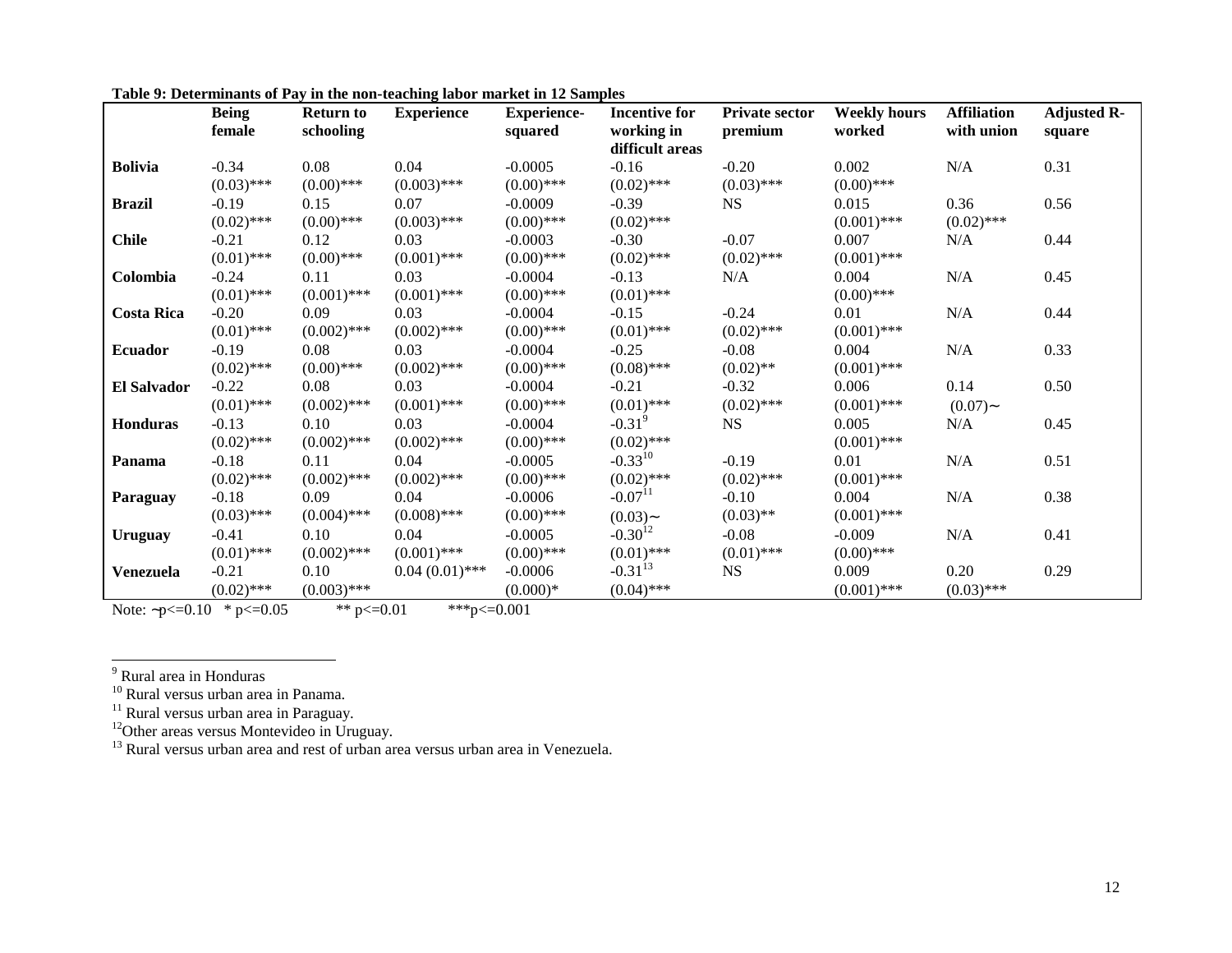|                    | <b>Being</b><br>female | <b>Return to</b><br>schooling | <b>Experience</b> | <b>Experience-</b><br>squared | <b>Incentive for</b><br>working in<br>difficult areas | <b>Private sector</b><br>premium | <b>Weekly hours</b><br>worked | <b>Affiliation</b><br>with union | <b>Adjusted R-</b><br>square |
|--------------------|------------------------|-------------------------------|-------------------|-------------------------------|-------------------------------------------------------|----------------------------------|-------------------------------|----------------------------------|------------------------------|
| <b>Bolivia</b>     | $-0.34$                | 0.08                          | 0.04              | $-0.0005$                     | $-0.16$                                               | $-0.20$                          | 0.002                         | N/A                              | 0.31                         |
|                    | $(0.03)$ ***           | $(0.00)$ ***                  | $(0.003)$ ***     | $(0.00)$ ***                  | $(0.02)$ ***                                          | $(0.03)$ ***                     | $(0.00)$ ***                  |                                  |                              |
| <b>Brazil</b>      | $-0.19$                | 0.15                          | 0.07              | $-0.0009$                     | $-0.39$                                               | <b>NS</b>                        | 0.015                         | 0.36                             | 0.56                         |
|                    | $(0.02)$ ***           | $(0.00)$ ***                  | $(0.003)$ ***     | $(0.00)$ ***                  | $(0.02)$ ***                                          |                                  | $(0.001)$ ***                 | $(0.02)$ ***                     |                              |
| <b>Chile</b>       | $-0.21$                | 0.12                          | 0.03              | $-0.0003$                     | $-0.30$                                               | $-0.07$                          | 0.007                         | N/A                              | 0.44                         |
|                    | $(0.01)$ ***           | $(0.00)$ ***                  | $(0.001)$ ***     | $(0.00)$ ***                  | $(0.02)$ ***                                          | $(0.02)$ ***                     | $(0.001)$ ***                 |                                  |                              |
| Colombia           | $-0.24$                | 0.11                          | 0.03              | $-0.0004$                     | $-0.13$                                               | N/A                              | 0.004                         | N/A                              | 0.45                         |
|                    | $(0.01)$ ***           | $(0.001)$ ***                 | $(0.001)$ ***     | $(0.00)$ ***                  | $(0.01)$ ***                                          |                                  | $(0.00)$ ***                  |                                  |                              |
| <b>Costa Rica</b>  | $-0.20$                | 0.09                          | 0.03              | $-0.0004$                     | $-0.15$                                               | $-0.24$                          | 0.01                          | N/A                              | 0.44                         |
|                    | $(0.01)$ ***           | $(0.002)$ ***                 | $(0.002)$ ***     | $(0.00)$ ***                  | $(0.01)$ ***                                          | $(0.02)$ ***                     | $(0.001)$ ***                 |                                  |                              |
| <b>Ecuador</b>     | $-0.19$                | 0.08                          | 0.03              | $-0.0004$                     | $-0.25$                                               | $-0.08$                          | 0.004                         | N/A                              | 0.33                         |
|                    | $(0.02)$ ***           | $(0.00)$ ***                  | $(0.002)$ ***     | $(0.00)$ ***                  | $(0.08)$ ***                                          | $(0.02)$ **                      | $(0.001)$ ***                 |                                  |                              |
| <b>El Salvador</b> | $-0.22$                | 0.08                          | 0.03              | $-0.0004$                     | $-0.21$                                               | $-0.32$                          | 0.006                         | 0.14                             | 0.50                         |
|                    | $(0.01)$ ***           | $(0.002)$ ***                 | $(0.001)$ ***     | $(0.00)$ ***                  | $(0.01)$ ***                                          | $(0.02)$ ***                     | $(0.001)$ ***                 | $(0.07)$ ~                       |                              |
| <b>Honduras</b>    | $-0.13$                | 0.10                          | 0.03              | $-0.0004$                     | $-0.31^{9}$                                           | <b>NS</b>                        | 0.005                         | N/A                              | 0.45                         |
|                    | $(0.02)$ ***           | $(0.002)$ ***                 | $(0.002)$ ***     | $(0.00)$ ***                  | $(0.02)$ ***                                          |                                  | $(0.001)$ ***                 |                                  |                              |
| Panama             | $-0.18$                | 0.11                          | 0.04              | $-0.0005$                     | $-0.33^{10}$                                          | $-0.19$                          | 0.01                          | N/A                              | 0.51                         |
|                    | $(0.02)$ ***           | $(0.002)$ ***                 | $(0.002)$ ***     | $(0.00)$ ***                  | $(0.02)$ ***                                          | $(0.02)$ ***                     | $(0.001)$ ***                 |                                  |                              |
| Paraguay           | $-0.18$                | 0.09                          | 0.04              | $-0.0006$                     | $-0.07$ <sup>11</sup>                                 | $-0.10$                          | 0.004                         | N/A                              | 0.38                         |
|                    | $(0.03)$ ***           | $(0.004)$ ***                 | $(0.008)$ ***     | $(0.00)$ ***                  | $(0.03)$ ~                                            | $(0.03)$ **                      | $(0.001)$ ***                 |                                  |                              |
| Uruguay            | $-0.41$                | 0.10                          | 0.04              | $-0.0005$                     | $-0.30^{12}$                                          | $-0.08$                          | $-0.009$                      | N/A                              | 0.41                         |
|                    | $(0.01)$ ***           | $(0.002)$ ***                 | $(0.001)$ ***     | $(0.00)$ ***                  | $(0.01)$ ***                                          | $(0.01)$ ***                     | $(0.00)$ ***                  |                                  |                              |
| Venezuela          | $-0.21$                | 0.10                          | $0.04(0.01)$ ***  | $-0.0006$                     | $-0.31^{13}$                                          | <b>NS</b>                        | 0.009                         | 0.20                             | 0.29                         |
|                    | $(0.02)$ ***           | $(0.003)$ ***                 |                   | $(0.000)*$                    | $(0.04)$ ***                                          |                                  | $(0.001)$ ***                 | $(0.03)$ ***                     |                              |

**Table 9: Determinants of Pay in the non-teaching labor market in 12 Samples**

Note: ~ $p \le 0.10 \times p \le 0.05$  \*\* $p \le 0.01$  \*\*\* $p \le 0.001$ 

<sup>9</sup> Rural area in Honduras

 $^{10}$  Rural versus urban area in Panama.

<sup>11</sup> Rural versus urban area in Paraguay.

 $12$ Other areas versus Montevideo in Uruguay.

 $^{13}$  Rural versus urban area and rest of urban area versus urban area in Venezuela.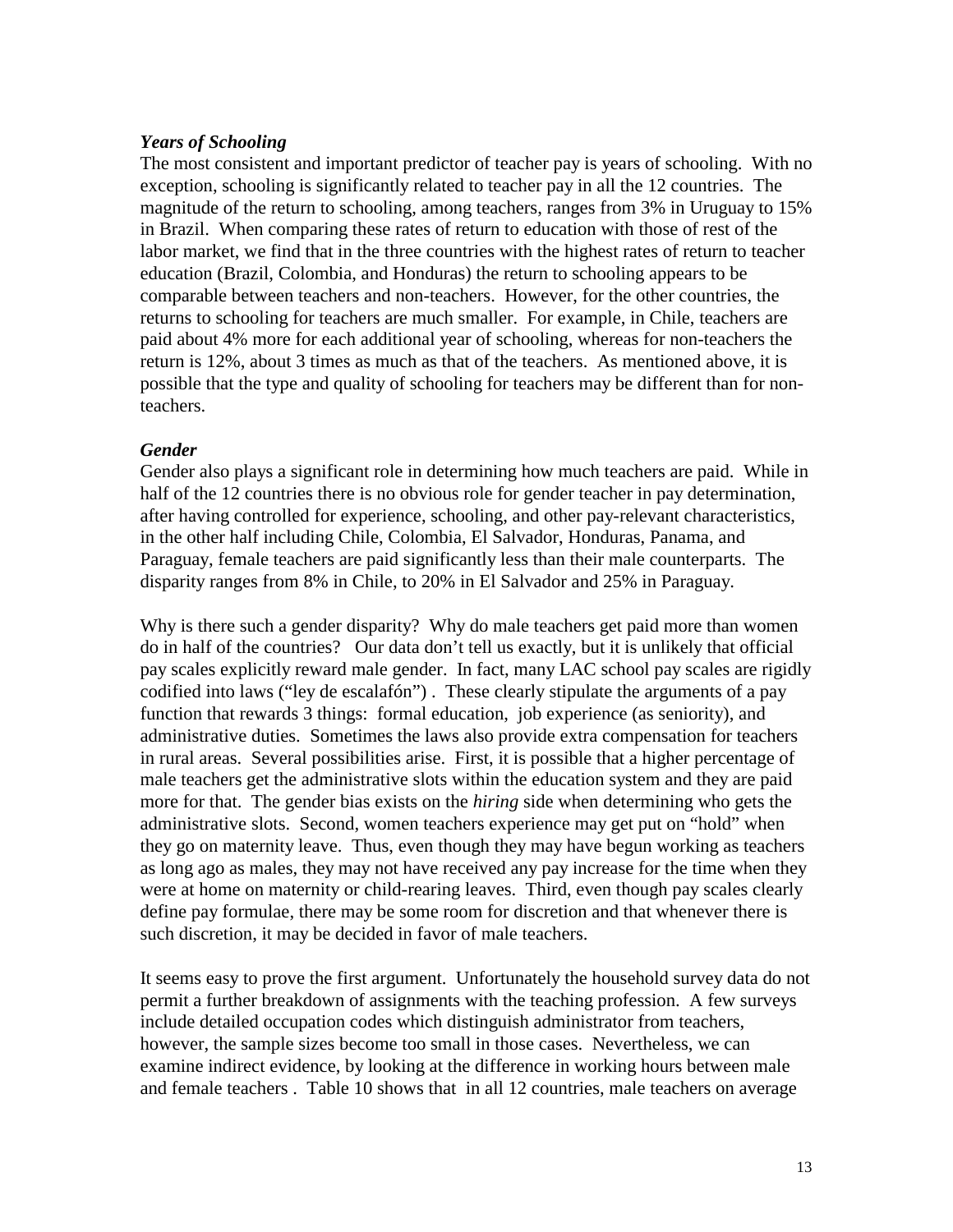### *Years of Schooling*

The most consistent and important predictor of teacher pay is years of schooling. With no exception, schooling is significantly related to teacher pay in all the 12 countries. The magnitude of the return to schooling, among teachers, ranges from 3% in Uruguay to 15% in Brazil. When comparing these rates of return to education with those of rest of the labor market, we find that in the three countries with the highest rates of return to teacher education (Brazil, Colombia, and Honduras) the return to schooling appears to be comparable between teachers and non-teachers. However, for the other countries, the returns to schooling for teachers are much smaller. For example, in Chile, teachers are paid about 4% more for each additional year of schooling, whereas for non-teachers the return is 12%, about 3 times as much as that of the teachers. As mentioned above, it is possible that the type and quality of schooling for teachers may be different than for nonteachers.

### *Gender*

Gender also plays a significant role in determining how much teachers are paid. While in half of the 12 countries there is no obvious role for gender teacher in pay determination, after having controlled for experience, schooling, and other pay-relevant characteristics, in the other half including Chile, Colombia, El Salvador, Honduras, Panama, and Paraguay, female teachers are paid significantly less than their male counterparts. The disparity ranges from 8% in Chile, to 20% in El Salvador and 25% in Paraguay.

Why is there such a gender disparity? Why do male teachers get paid more than women do in half of the countries? Our data don't tell us exactly, but it is unlikely that official pay scales explicitly reward male gender. In fact, many LAC school pay scales are rigidly codified into laws ("ley de escalafón") . These clearly stipulate the arguments of a pay function that rewards 3 things: formal education, job experience (as seniority), and administrative duties. Sometimes the laws also provide extra compensation for teachers in rural areas. Several possibilities arise. First, it is possible that a higher percentage of male teachers get the administrative slots within the education system and they are paid more for that. The gender bias exists on the *hiring* side when determining who gets the administrative slots. Second, women teachers experience may get put on "hold" when they go on maternity leave. Thus, even though they may have begun working as teachers as long ago as males, they may not have received any pay increase for the time when they were at home on maternity or child-rearing leaves. Third, even though pay scales clearly define pay formulae, there may be some room for discretion and that whenever there is such discretion, it may be decided in favor of male teachers.

It seems easy to prove the first argument. Unfortunately the household survey data do not permit a further breakdown of assignments with the teaching profession. A few surveys include detailed occupation codes which distinguish administrator from teachers, however, the sample sizes become too small in those cases. Nevertheless, we can examine indirect evidence, by looking at the difference in working hours between male and female teachers . Table 10 shows that in all 12 countries, male teachers on average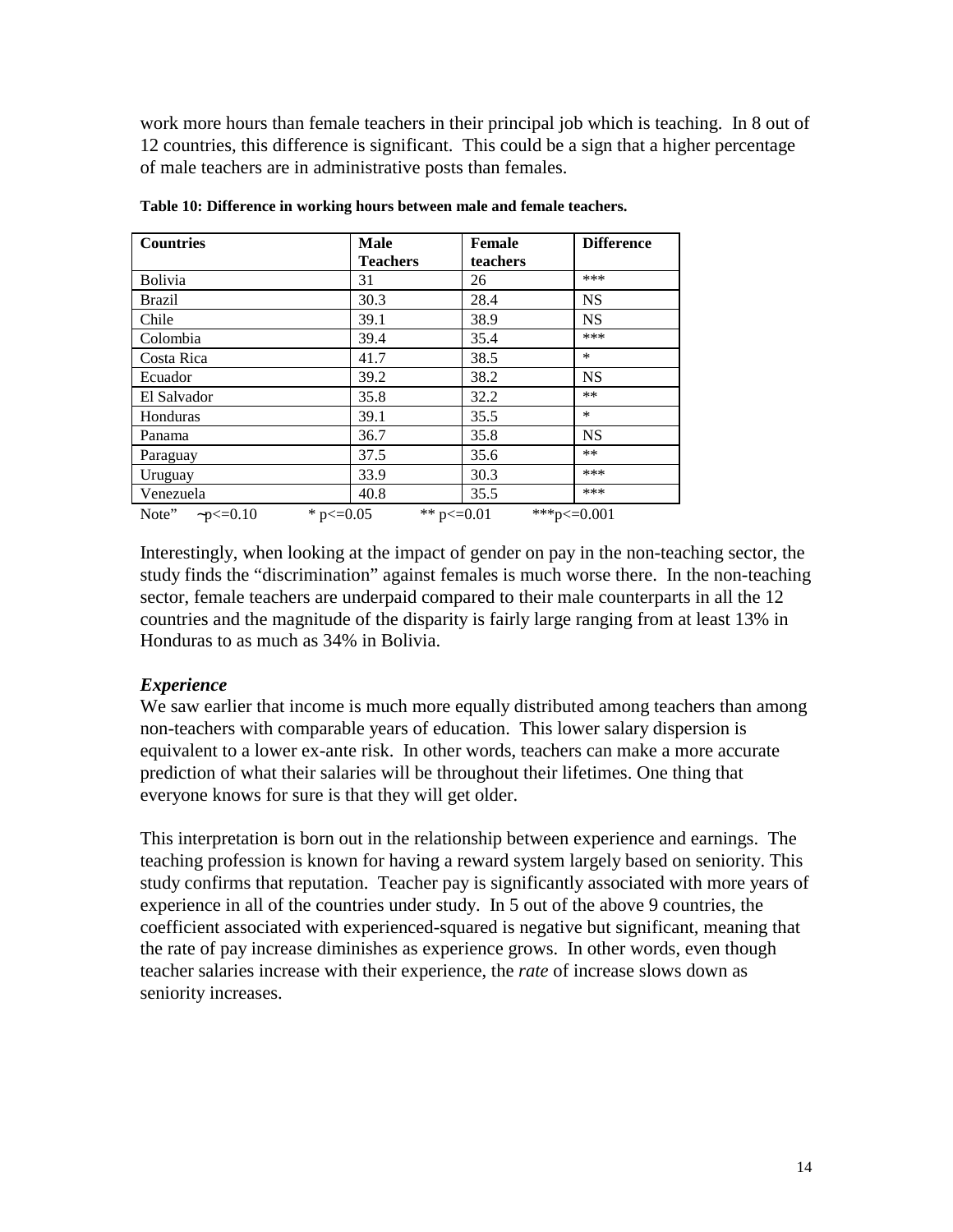work more hours than female teachers in their principal job which is teaching. In 8 out of 12 countries, this difference is significant. This could be a sign that a higher percentage of male teachers are in administrative posts than females.

| <b>Countries</b>        | <b>Male</b>     | Female          | <b>Difference</b> |
|-------------------------|-----------------|-----------------|-------------------|
|                         | <b>Teachers</b> | teachers        |                   |
| <b>Bolivia</b>          | 31              | 26              | ***               |
| Brazil                  | 30.3            | 28.4            | <b>NS</b>         |
| Chile                   | 39.1            | 38.9            | <b>NS</b>         |
| Colombia                | 39.4            | 35.4            | ***               |
| Costa Rica              | 41.7            | 38.5            | $\ast$            |
| Ecuador                 | 39.2            | 38.2            | <b>NS</b>         |
| El Salvador             | 35.8            | 32.2            | **                |
| Honduras                | 39.1            | 35.5            | $\ast$            |
| Panama                  | 36.7            | 35.8            | <b>NS</b>         |
| Paraguay                | 37.5            | 35.6            | **                |
| Uruguay                 | 33.9            | 30.3            | ***               |
| Venezuela               | 40.8            | 35.5            | ***               |
| Note" $\neg p \le 0.10$ | * $p \le 0.05$  | ** $p \le 0.01$ | ***p<=0.001       |

**Table 10: Difference in working hours between male and female teachers.**

Interestingly, when looking at the impact of gender on pay in the non-teaching sector, the study finds the "discrimination" against females is much worse there. In the non-teaching sector, female teachers are underpaid compared to their male counterparts in all the 12 countries and the magnitude of the disparity is fairly large ranging from at least 13% in Honduras to as much as 34% in Bolivia.

### *Experience*

We saw earlier that income is much more equally distributed among teachers than among non-teachers with comparable years of education. This lower salary dispersion is equivalent to a lower ex-ante risk. In other words, teachers can make a more accurate prediction of what their salaries will be throughout their lifetimes. One thing that everyone knows for sure is that they will get older.

This interpretation is born out in the relationship between experience and earnings. The teaching profession is known for having a reward system largely based on seniority. This study confirms that reputation. Teacher pay is significantly associated with more years of experience in all of the countries under study. In 5 out of the above 9 countries, the coefficient associated with experienced-squared is negative but significant, meaning that the rate of pay increase diminishes as experience grows. In other words, even though teacher salaries increase with their experience, the *rate* of increase slows down as seniority increases.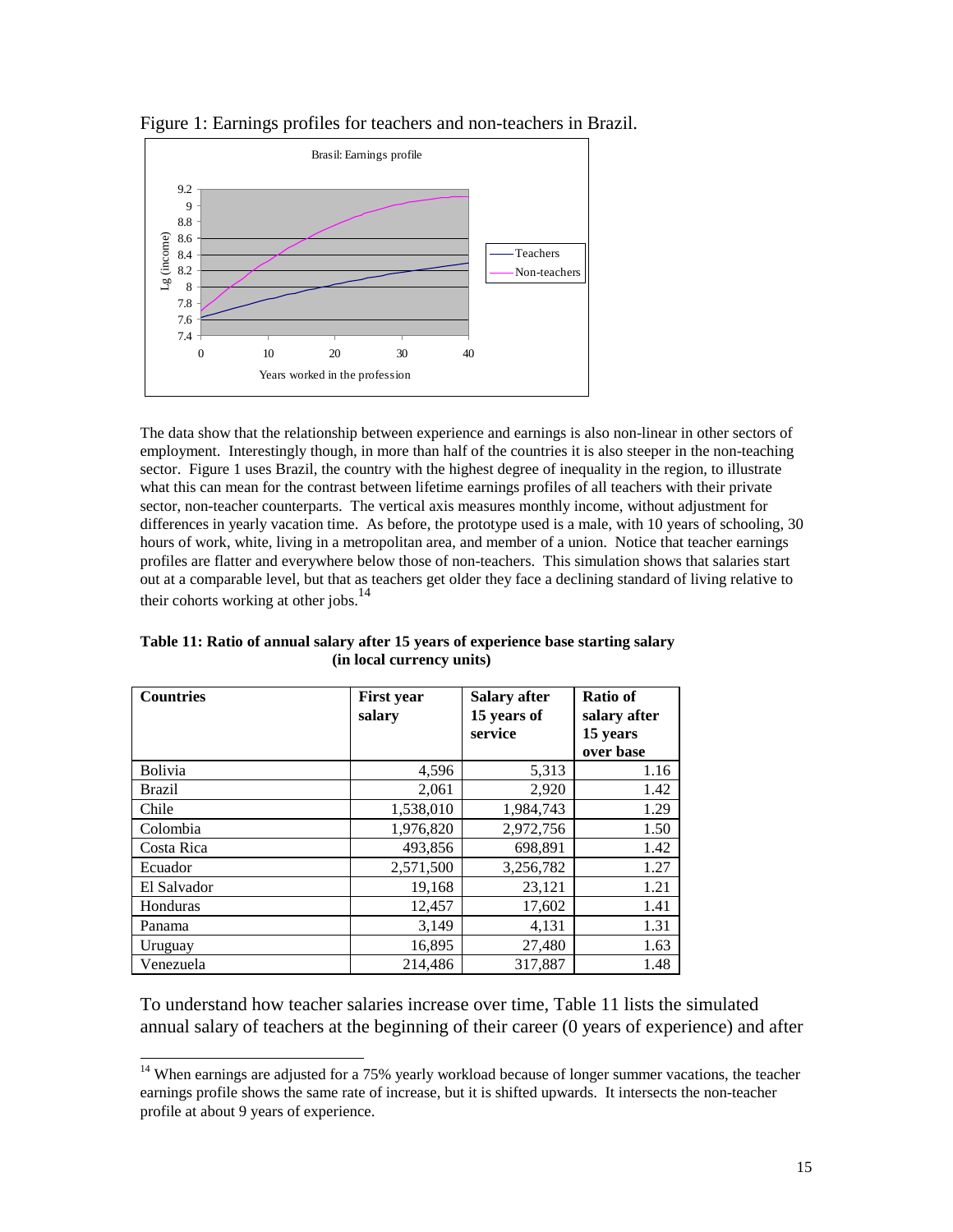

Figure 1: Earnings profiles for teachers and non-teachers in Brazil.

The data show that the relationship between experience and earnings is also non-linear in other sectors of employment. Interestingly though, in more than half of the countries it is also steeper in the non-teaching sector. Figure 1 uses Brazil, the country with the highest degree of inequality in the region, to illustrate what this can mean for the contrast between lifetime earnings profiles of all teachers with their private sector, non-teacher counterparts. The vertical axis measures monthly income, without adjustment for differences in yearly vacation time. As before, the prototype used is a male, with 10 years of schooling, 30 hours of work, white, living in a metropolitan area, and member of a union. Notice that teacher earnings profiles are flatter and everywhere below those of non-teachers. This simulation shows that salaries start out at a comparable level, but that as teachers get older they face a declining standard of living relative to their cohorts working at other jobs.<sup>14</sup>

| <b>Countries</b> | <b>First year</b><br>salary | <b>Salary after</b><br>15 years of<br>service | <b>Ratio of</b><br>salary after<br>15 years<br>over base |
|------------------|-----------------------------|-----------------------------------------------|----------------------------------------------------------|
| Bolivia          | 4,596                       | 5,313                                         | 1.16                                                     |
| <b>Brazil</b>    | 2,061                       | 2,920                                         | 1.42                                                     |
| Chile            | 1,538,010                   | 1,984,743                                     | 1.29                                                     |
| Colombia         | 1,976,820                   | 2,972,756                                     | 1.50                                                     |
| Costa Rica       | 493,856                     | 698,891                                       | 1.42                                                     |
| Ecuador          | 2,571,500                   | 3,256,782                                     | 1.27                                                     |
| El Salvador      | 19,168                      | 23,121                                        | 1.21                                                     |
| Honduras         | 12,457                      | 17,602                                        | 1.41                                                     |
| Panama           | 3,149                       | 4,131                                         | 1.31                                                     |
| Uruguay          | 16,895                      | 27,480                                        | 1.63                                                     |
| Venezuela        | 214,486                     | 317,887                                       | 1.48                                                     |

**Table 11: Ratio of annual salary after 15 years of experience base starting salary (in local currency units)**

To understand how teacher salaries increase over time, Table 11 lists the simulated annual salary of teachers at the beginning of their career (0 years of experience) and after

 $\overline{a}$  $14$  When earnings are adjusted for a 75% yearly workload because of longer summer vacations, the teacher earnings profile shows the same rate of increase, but it is shifted upwards. It intersects the non-teacher profile at about 9 years of experience.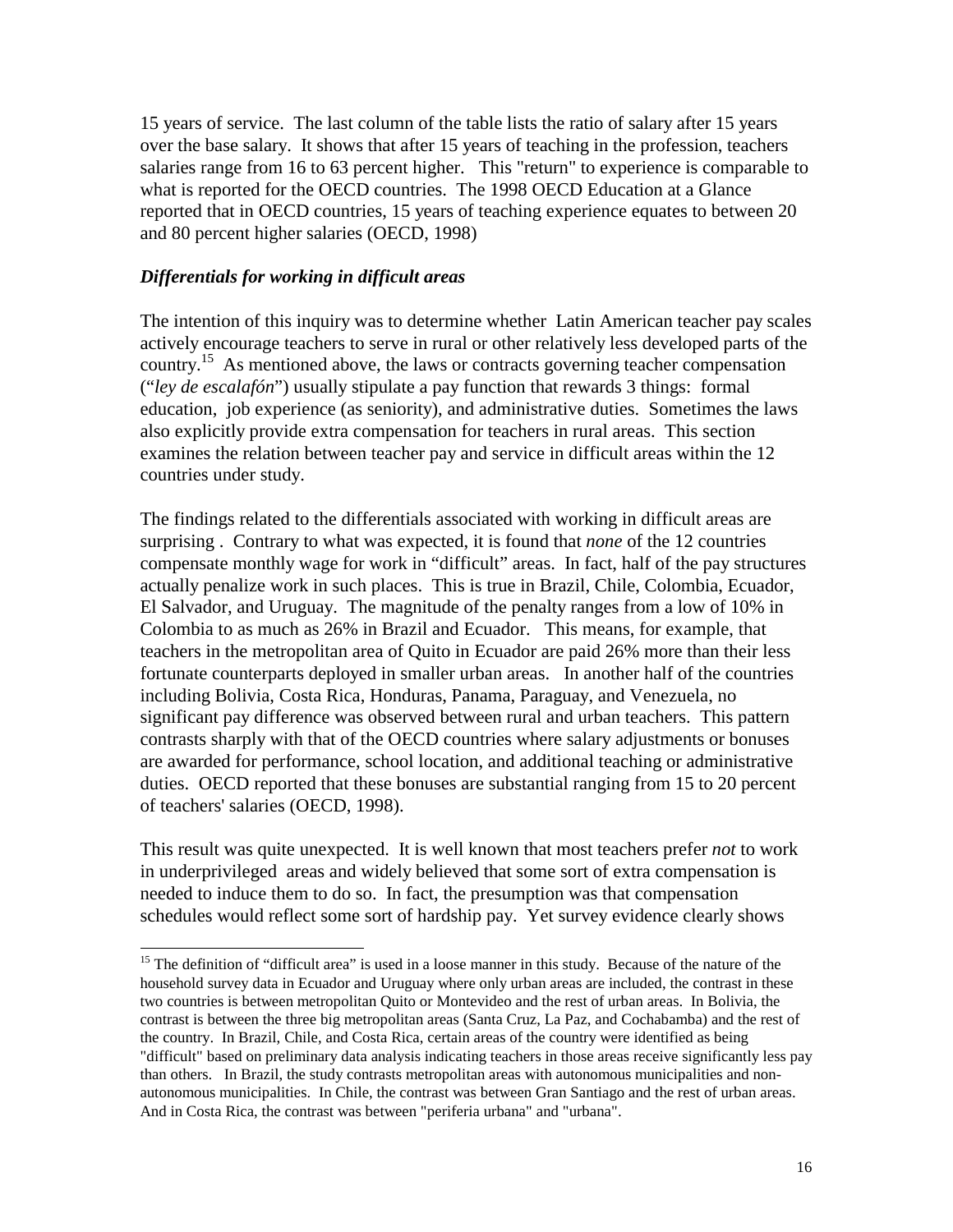15 years of service. The last column of the table lists the ratio of salary after 15 years over the base salary. It shows that after 15 years of teaching in the profession, teachers salaries range from 16 to 63 percent higher. This "return" to experience is comparable to what is reported for the OECD countries. The 1998 OECD Education at a Glance reported that in OECD countries, 15 years of teaching experience equates to between 20 and 80 percent higher salaries (OECD, 1998)

### *Differentials for working in difficult areas*

 $\overline{\phantom{a}}$ 

The intention of this inquiry was to determine whether Latin American teacher pay scales actively encourage teachers to serve in rural or other relatively less developed parts of the country.15 As mentioned above, the laws or contracts governing teacher compensation ("*ley de escalafón*") usually stipulate a pay function that rewards 3 things: formal education, job experience (as seniority), and administrative duties. Sometimes the laws also explicitly provide extra compensation for teachers in rural areas. This section examines the relation between teacher pay and service in difficult areas within the 12 countries under study.

The findings related to the differentials associated with working in difficult areas are surprising . Contrary to what was expected, it is found that *none* of the 12 countries compensate monthly wage for work in "difficult" areas. In fact, half of the pay structures actually penalize work in such places. This is true in Brazil, Chile, Colombia, Ecuador, El Salvador, and Uruguay. The magnitude of the penalty ranges from a low of 10% in Colombia to as much as 26% in Brazil and Ecuador. This means, for example, that teachers in the metropolitan area of Quito in Ecuador are paid 26% more than their less fortunate counterparts deployed in smaller urban areas. In another half of the countries including Bolivia, Costa Rica, Honduras, Panama, Paraguay, and Venezuela, no significant pay difference was observed between rural and urban teachers. This pattern contrasts sharply with that of the OECD countries where salary adjustments or bonuses are awarded for performance, school location, and additional teaching or administrative duties. OECD reported that these bonuses are substantial ranging from 15 to 20 percent of teachers' salaries (OECD, 1998).

This result was quite unexpected. It is well known that most teachers prefer *not* to work in underprivileged areas and widely believed that some sort of extra compensation is needed to induce them to do so. In fact, the presumption was that compensation schedules would reflect some sort of hardship pay. Yet survey evidence clearly shows

<sup>&</sup>lt;sup>15</sup> The definition of "difficult area" is used in a loose manner in this study. Because of the nature of the household survey data in Ecuador and Uruguay where only urban areas are included, the contrast in these two countries is between metropolitan Quito or Montevideo and the rest of urban areas. In Bolivia, the contrast is between the three big metropolitan areas (Santa Cruz, La Paz, and Cochabamba) and the rest of the country. In Brazil, Chile, and Costa Rica, certain areas of the country were identified as being "difficult" based on preliminary data analysis indicating teachers in those areas receive significantly less pay than others. In Brazil, the study contrasts metropolitan areas with autonomous municipalities and nonautonomous municipalities. In Chile, the contrast was between Gran Santiago and the rest of urban areas. And in Costa Rica, the contrast was between "periferia urbana" and "urbana".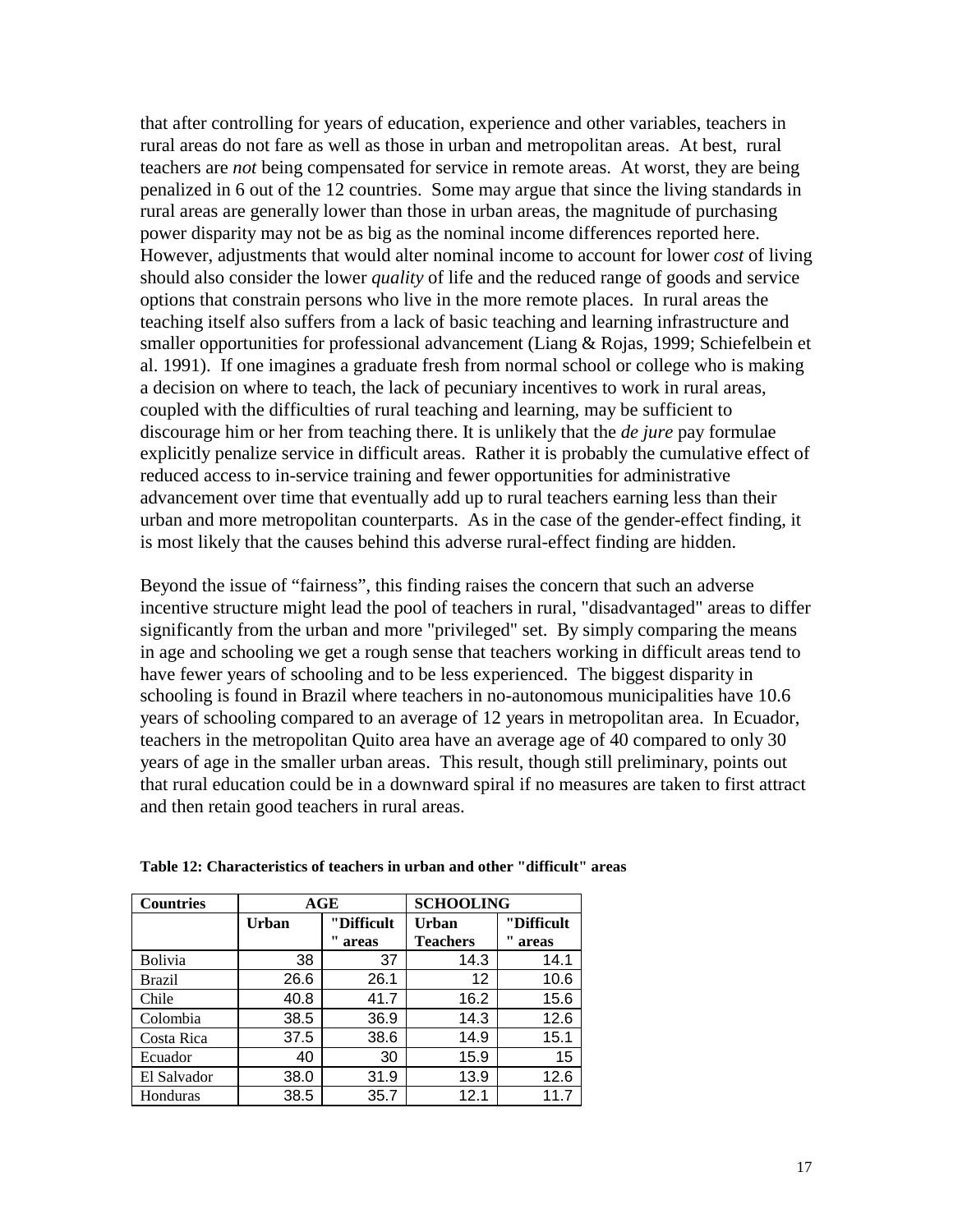that after controlling for years of education, experience and other variables, teachers in rural areas do not fare as well as those in urban and metropolitan areas. At best, rural teachers are *not* being compensated for service in remote areas. At worst, they are being penalized in 6 out of the 12 countries. Some may argue that since the living standards in rural areas are generally lower than those in urban areas, the magnitude of purchasing power disparity may not be as big as the nominal income differences reported here. However, adjustments that would alter nominal income to account for lower *cost* of living should also consider the lower *quality* of life and the reduced range of goods and service options that constrain persons who live in the more remote places. In rural areas the teaching itself also suffers from a lack of basic teaching and learning infrastructure and smaller opportunities for professional advancement (Liang & Rojas, 1999; Schiefelbein et al. 1991). If one imagines a graduate fresh from normal school or college who is making a decision on where to teach, the lack of pecuniary incentives to work in rural areas, coupled with the difficulties of rural teaching and learning, may be sufficient to discourage him or her from teaching there. It is unlikely that the *de jure* pay formulae explicitly penalize service in difficult areas. Rather it is probably the cumulative effect of reduced access to in-service training and fewer opportunities for administrative advancement over time that eventually add up to rural teachers earning less than their urban and more metropolitan counterparts. As in the case of the gender-effect finding, it is most likely that the causes behind this adverse rural-effect finding are hidden.

Beyond the issue of "fairness", this finding raises the concern that such an adverse incentive structure might lead the pool of teachers in rural, "disadvantaged" areas to differ significantly from the urban and more "privileged" set. By simply comparing the means in age and schooling we get a rough sense that teachers working in difficult areas tend to have fewer years of schooling and to be less experienced. The biggest disparity in schooling is found in Brazil where teachers in no-autonomous municipalities have 10.6 years of schooling compared to an average of 12 years in metropolitan area. In Ecuador, teachers in the metropolitan Quito area have an average age of 40 compared to only 30 years of age in the smaller urban areas. This result, though still preliminary, points out that rural education could be in a downward spiral if no measures are taken to first attract and then retain good teachers in rural areas.

| <b>Countries</b> | AGE          |            | <b>SCHOOLING</b> |            |
|------------------|--------------|------------|------------------|------------|
|                  | <b>Urban</b> | "Difficult | Urban            | "Difficult |
|                  |              | areas      | <b>Teachers</b>  | areas      |
| <b>Bolivia</b>   | 38           | 37         | 14.3             | 14.1       |
| <b>Brazil</b>    | 26.6         | 26.1       | 12               | 10.6       |
| Chile            | 40.8         | 41.7       | 16.2             | 15.6       |
| Colombia         | 38.5         | 36.9       | 14.3             | 12.6       |
| Costa Rica       | 37.5         | 38.6       | 14.9             | 15.1       |
| Ecuador          | 40           | 30         | 15.9             | 15         |
| El Salvador      | 38.0         | 31.9       | 13.9             | 12.6       |
| Honduras         | 38.5         | 35.7       | 12.1             | 11 7       |

**Table 12: Characteristics of teachers in urban and other "difficult" areas**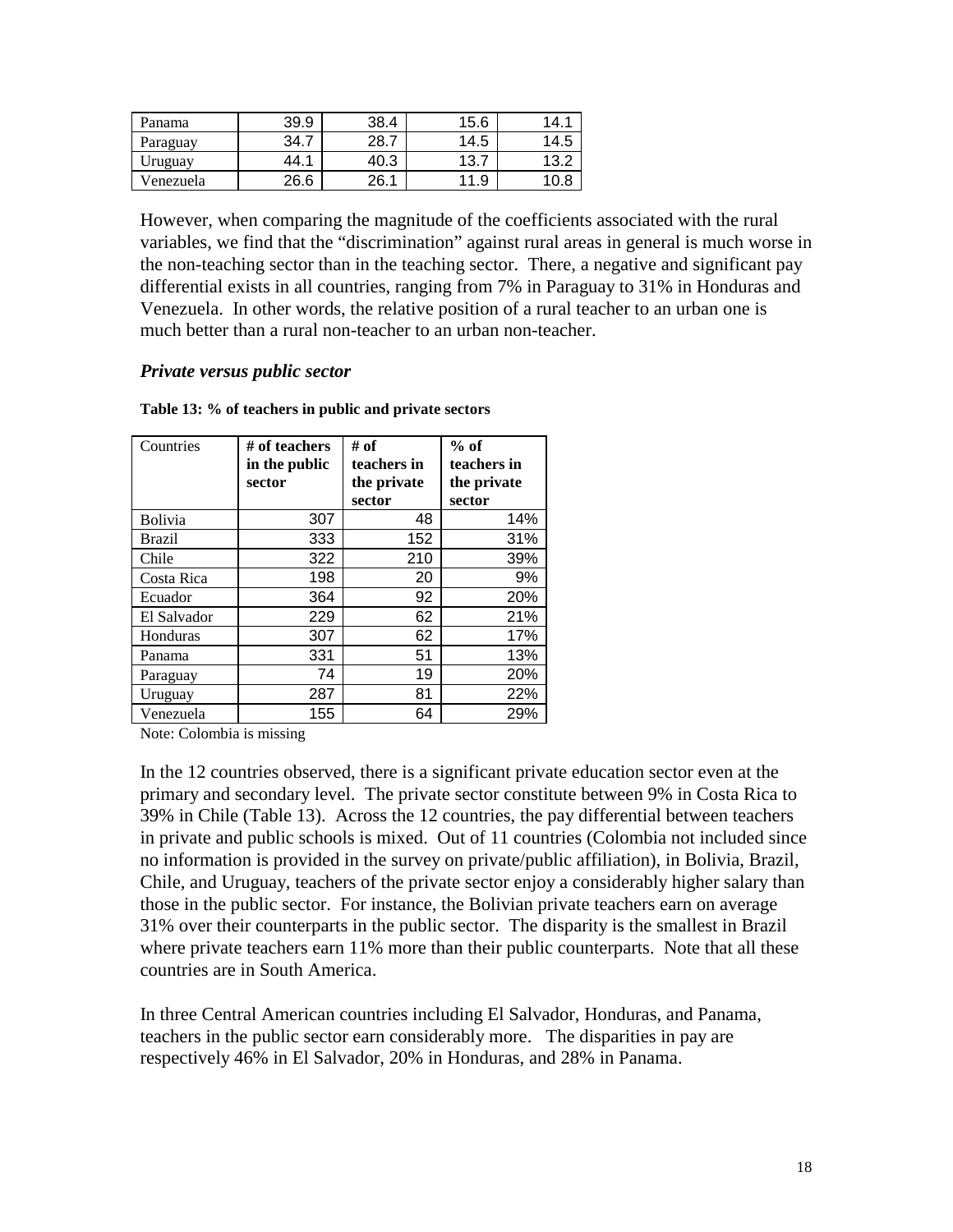| Panama    | 39.9 | 38.4 | 15.6 | 14.  |
|-----------|------|------|------|------|
| Paraguay  | 34.7 | 28.7 | 14.5 | 14.5 |
| Uruguay   | 44.  | 40.3 | 13   | 13.2 |
| Venezuela | 26.6 | 26.1 | 11.9 | 10.ປ |

However, when comparing the magnitude of the coefficients associated with the rural variables, we find that the "discrimination" against rural areas in general is much worse in the non-teaching sector than in the teaching sector. There, a negative and significant pay differential exists in all countries, ranging from 7% in Paraguay to 31% in Honduras and Venezuela. In other words, the relative position of a rural teacher to an urban one is much better than a rural non-teacher to an urban non-teacher.

#### *Private versus public sector*

| Countries     | # of teachers | # of        | $%$ of      |
|---------------|---------------|-------------|-------------|
|               | in the public | teachers in | teachers in |
|               | sector        | the private | the private |
|               |               | sector      | sector      |
| Bolivia       | 307           | 48          | 14%         |
| <b>Brazil</b> | 333           | 152         | 31%         |
| Chile         | 322           | 210         | 39%         |
| Costa Rica    | 198           | 20          | 9%          |
| Ecuador       | 364           | 92          | 20%         |
| El Salvador   | 229           | 62          | 21%         |
| Honduras      | 307           | 62          | 17%         |
| Panama        | 331           | 51          | 13%         |
| Paraguay      | 74            | 19          | 20%         |
| Uruguay       | 287           | 81          | 22%         |
| Venezuela     | 155           | 64          | 29%         |

#### **Table 13: % of teachers in public and private sectors**

Note: Colombia is missing

In the 12 countries observed, there is a significant private education sector even at the primary and secondary level. The private sector constitute between 9% in Costa Rica to 39% in Chile (Table 13). Across the 12 countries, the pay differential between teachers in private and public schools is mixed. Out of 11 countries (Colombia not included since no information is provided in the survey on private/public affiliation), in Bolivia, Brazil, Chile, and Uruguay, teachers of the private sector enjoy a considerably higher salary than those in the public sector. For instance, the Bolivian private teachers earn on average 31% over their counterparts in the public sector. The disparity is the smallest in Brazil where private teachers earn 11% more than their public counterparts. Note that all these countries are in South America.

In three Central American countries including El Salvador, Honduras, and Panama, teachers in the public sector earn considerably more. The disparities in pay are respectively 46% in El Salvador, 20% in Honduras, and 28% in Panama.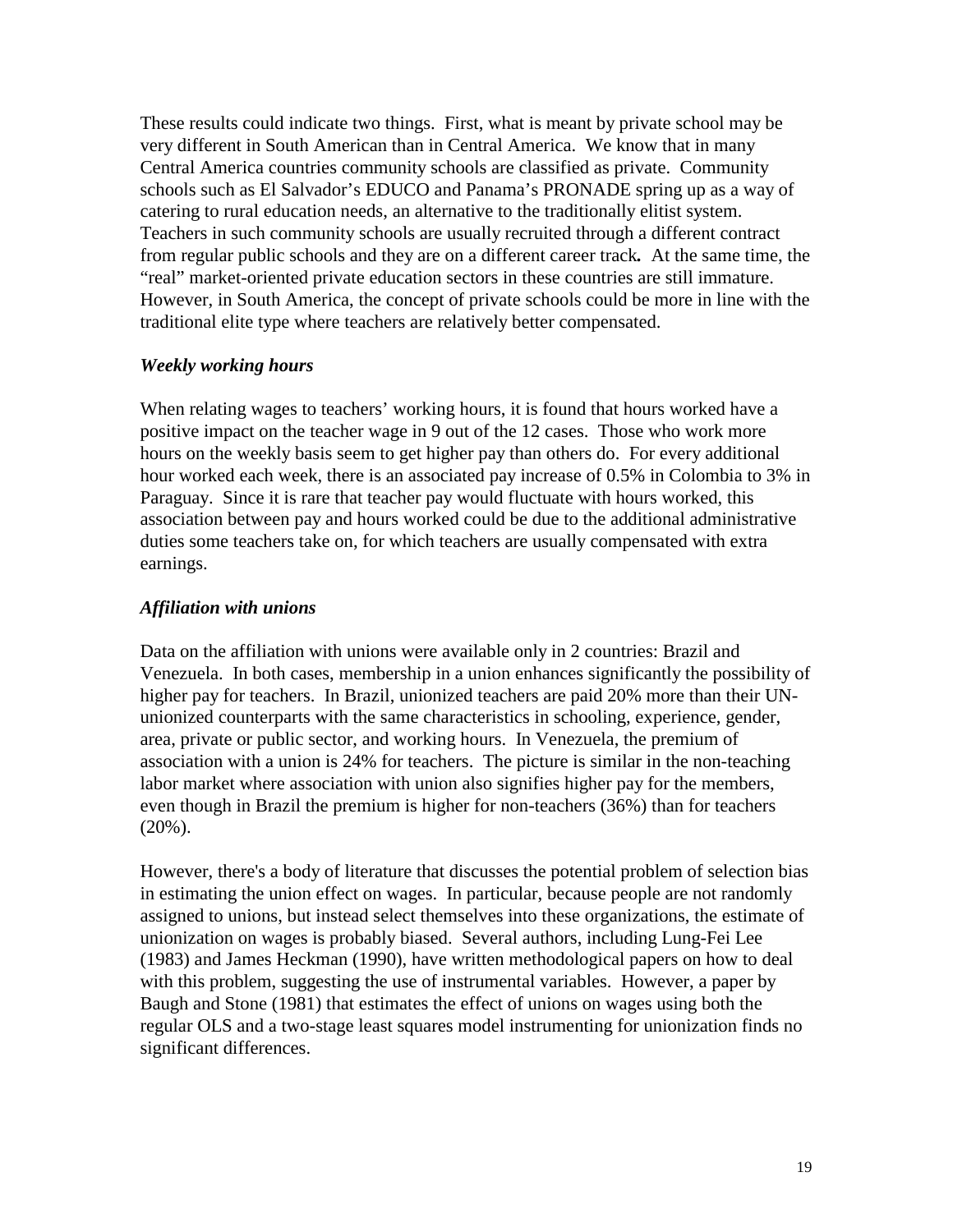These results could indicate two things. First, what is meant by private school may be very different in South American than in Central America. We know that in many Central America countries community schools are classified as private. Community schools such as El Salvador's EDUCO and Panama's PRONADE spring up as a way of catering to rural education needs, an alternative to the traditionally elitist system. Teachers in such community schools are usually recruited through a different contract from regular public schools and they are on a different career track*.* At the same time, the "real" market-oriented private education sectors in these countries are still immature. However, in South America, the concept of private schools could be more in line with the traditional elite type where teachers are relatively better compensated.

#### *Weekly working hours*

When relating wages to teachers' working hours, it is found that hours worked have a positive impact on the teacher wage in 9 out of the 12 cases. Those who work more hours on the weekly basis seem to get higher pay than others do. For every additional hour worked each week, there is an associated pay increase of 0.5% in Colombia to 3% in Paraguay. Since it is rare that teacher pay would fluctuate with hours worked, this association between pay and hours worked could be due to the additional administrative duties some teachers take on, for which teachers are usually compensated with extra earnings.

### *Affiliation with unions*

Data on the affiliation with unions were available only in 2 countries: Brazil and Venezuela. In both cases, membership in a union enhances significantly the possibility of higher pay for teachers. In Brazil, unionized teachers are paid 20% more than their UNunionized counterparts with the same characteristics in schooling, experience, gender, area, private or public sector, and working hours. In Venezuela, the premium of association with a union is 24% for teachers. The picture is similar in the non-teaching labor market where association with union also signifies higher pay for the members, even though in Brazil the premium is higher for non-teachers (36%) than for teachers (20%).

However, there's a body of literature that discusses the potential problem of selection bias in estimating the union effect on wages. In particular, because people are not randomly assigned to unions, but instead select themselves into these organizations, the estimate of unionization on wages is probably biased. Several authors, including Lung-Fei Lee (1983) and James Heckman (1990), have written methodological papers on how to deal with this problem, suggesting the use of instrumental variables. However, a paper by Baugh and Stone (1981) that estimates the effect of unions on wages using both the regular OLS and a two-stage least squares model instrumenting for unionization finds no significant differences.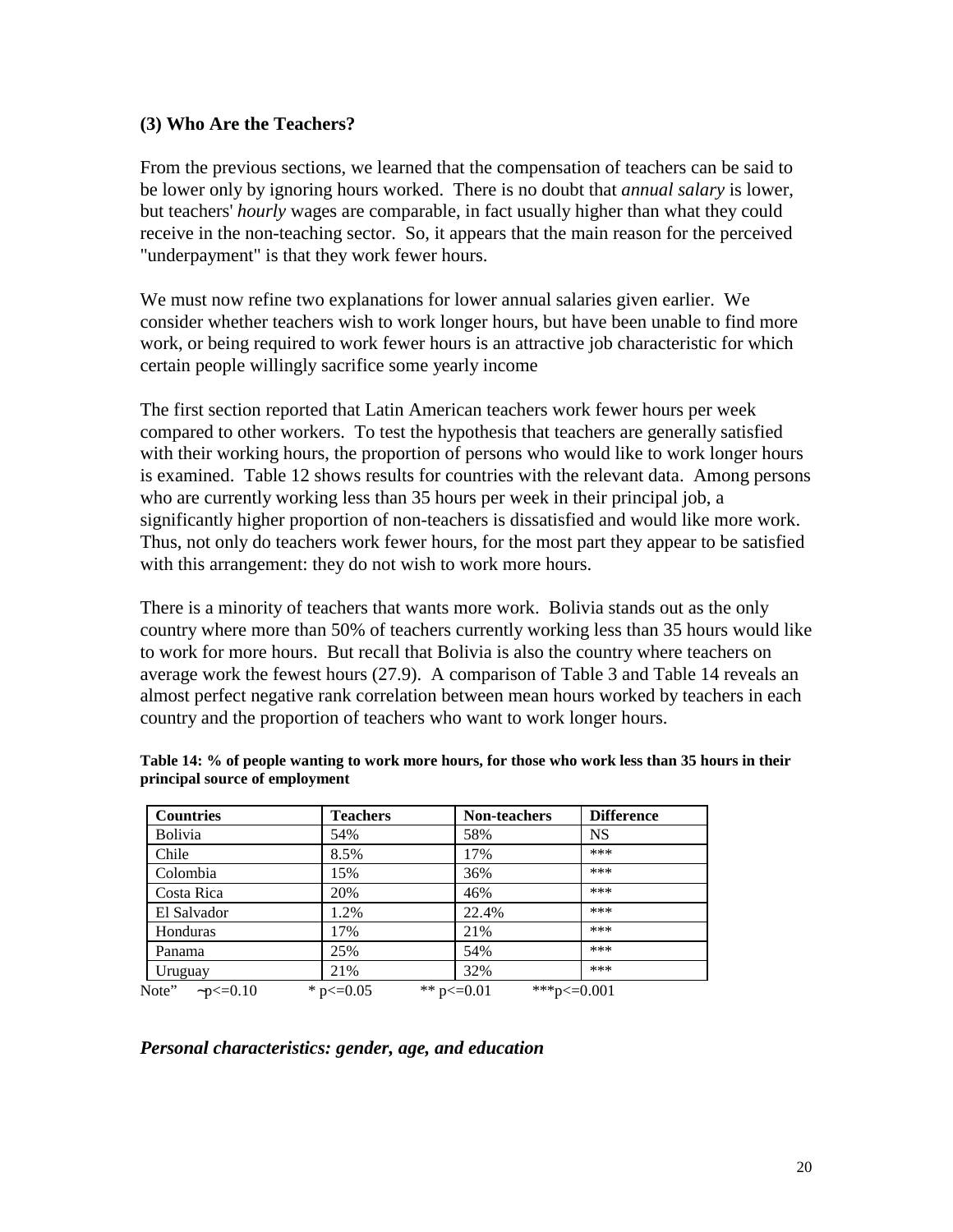### **(3) Who Are the Teachers?**

From the previous sections, we learned that the compensation of teachers can be said to be lower only by ignoring hours worked. There is no doubt that *annual salary* is lower, but teachers' *hourly* wages are comparable, in fact usually higher than what they could receive in the non-teaching sector. So, it appears that the main reason for the perceived "underpayment" is that they work fewer hours.

We must now refine two explanations for lower annual salaries given earlier. We consider whether teachers wish to work longer hours, but have been unable to find more work, or being required to work fewer hours is an attractive job characteristic for which certain people willingly sacrifice some yearly income

The first section reported that Latin American teachers work fewer hours per week compared to other workers. To test the hypothesis that teachers are generally satisfied with their working hours, the proportion of persons who would like to work longer hours is examined. Table 12 shows results for countries with the relevant data. Among persons who are currently working less than 35 hours per week in their principal job, a significantly higher proportion of non-teachers is dissatisfied and would like more work. Thus, not only do teachers work fewer hours, for the most part they appear to be satisfied with this arrangement: they do not wish to work more hours.

There is a minority of teachers that wants more work. Bolivia stands out as the only country where more than 50% of teachers currently working less than 35 hours would like to work for more hours. But recall that Bolivia is also the country where teachers on average work the fewest hours (27.9). A comparison of Table 3 and Table 14 reveals an almost perfect negative rank correlation between mean hours worked by teachers in each country and the proportion of teachers who want to work longer hours.

| <b>Countries</b>        | <b>Teachers</b> | <b>Non-teachers</b>                  | <b>Difference</b> |
|-------------------------|-----------------|--------------------------------------|-------------------|
| <b>Bolivia</b>          | 54%             | 58%                                  | <b>NS</b>         |
| Chile                   | 8.5%            | 17%                                  | ***               |
| Colombia                | 15%             | 36%                                  | ***               |
| Costa Rica              | 20%             | 46%                                  | ***               |
| El Salvador             | 1.2%            | 22.4%                                | ***               |
| Honduras                | 17%             | 21%                                  | ***               |
| Panama                  | 25%             | 54%                                  | ***               |
| Uruguay                 | 21%             | 32%                                  | ***               |
| Note" $\sim p \le 0.10$ | * $p \le 0.05$  | ***p $\leq 0.001$<br>** $p \le 0.01$ |                   |

**Table 14: % of people wanting to work more hours, for those who work less than 35 hours in their principal source of employment**

### *Personal characteristics: gender, age, and education*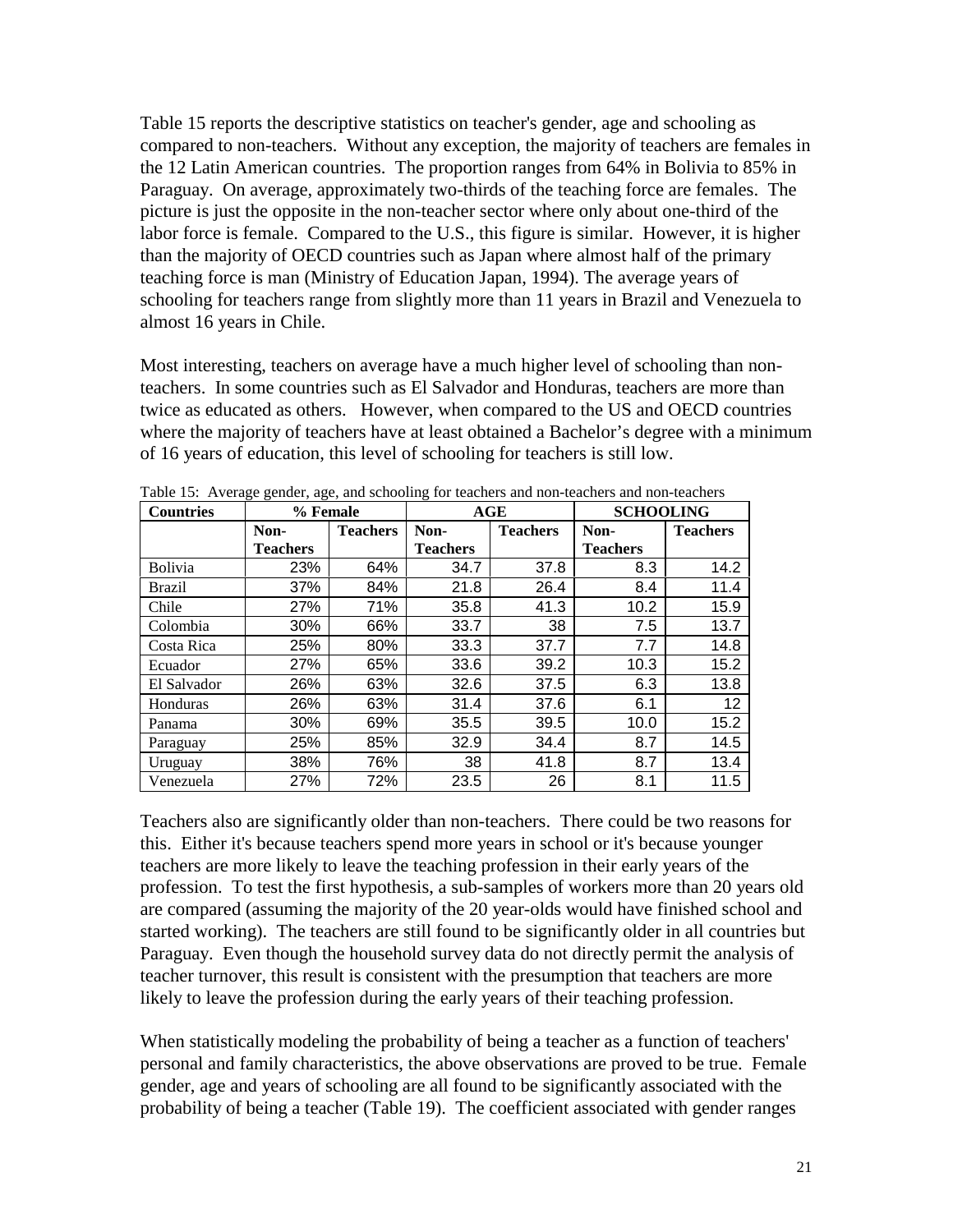Table 15 reports the descriptive statistics on teacher's gender, age and schooling as compared to non-teachers. Without any exception, the majority of teachers are females in the 12 Latin American countries. The proportion ranges from 64% in Bolivia to 85% in Paraguay. On average, approximately two-thirds of the teaching force are females. The picture is just the opposite in the non-teacher sector where only about one-third of the labor force is female. Compared to the U.S., this figure is similar. However, it is higher than the majority of OECD countries such as Japan where almost half of the primary teaching force is man (Ministry of Education Japan, 1994). The average years of schooling for teachers range from slightly more than 11 years in Brazil and Venezuela to almost 16 years in Chile.

Most interesting, teachers on average have a much higher level of schooling than nonteachers. In some countries such as El Salvador and Honduras, teachers are more than twice as educated as others. However, when compared to the US and OECD countries where the majority of teachers have at least obtained a Bachelor's degree with a minimum of 16 years of education, this level of schooling for teachers is still low.

| <b>Countries</b> | % Female        |                 |                 | AGE             | <b>SCHOOLING</b> |                 |  |
|------------------|-----------------|-----------------|-----------------|-----------------|------------------|-----------------|--|
|                  | Non-            | <b>Teachers</b> | Non-            | <b>Teachers</b> | Non-             | <b>Teachers</b> |  |
|                  | <b>Teachers</b> |                 | <b>Teachers</b> |                 | <b>Teachers</b>  |                 |  |
| Bolivia          | 23%             | 64%             | 34.7            | 37.8            | 8.3              | 14.2            |  |
| <b>Brazil</b>    | 37%             | 84%             | 21.8            | 26.4            | 8.4              | 11.4            |  |
| Chile            | 27%             | 71%             | 35.8            | 41.3            | 10.2             | 15.9            |  |
| Colombia         | 30%             | 66%             | 33.7            | 38              | 7.5              | 13.7            |  |
| Costa Rica       | 25%             | 80%             | 33.3            | 37.7            | 7.7              | 14.8            |  |
| Ecuador          | 27%             | 65%             | 33.6            | 39.2            | 10.3             | 15.2            |  |
| El Salvador      | 26%             | 63%             | 32.6            | 37.5            | 6.3              | 13.8            |  |
| Honduras         | 26%             | 63%             | 31.4            | 37.6            | 6.1              | 12 <sup>2</sup> |  |
| Panama           | 30%             | 69%             | 35.5            | 39.5            | 10.0             | 15.2            |  |
| Paraguay         | 25%             | 85%             | 32.9            | 34.4            | 8.7              | 14.5            |  |
| Uruguay          | 38%             | 76%             | 38              | 41.8            | 8.7              | 13.4            |  |
| Venezuela        | 27%             | 72%             | 23.5            | 26              | 8.1              | 11.5            |  |

Table 15: Average gender, age, and schooling for teachers and non-teachers and non-teachers

Teachers also are significantly older than non-teachers. There could be two reasons for this. Either it's because teachers spend more years in school or it's because younger teachers are more likely to leave the teaching profession in their early years of the profession. To test the first hypothesis, a sub-samples of workers more than 20 years old are compared (assuming the majority of the 20 year-olds would have finished school and started working). The teachers are still found to be significantly older in all countries but Paraguay. Even though the household survey data do not directly permit the analysis of teacher turnover, this result is consistent with the presumption that teachers are more likely to leave the profession during the early years of their teaching profession.

When statistically modeling the probability of being a teacher as a function of teachers' personal and family characteristics, the above observations are proved to be true. Female gender, age and years of schooling are all found to be significantly associated with the probability of being a teacher (Table 19). The coefficient associated with gender ranges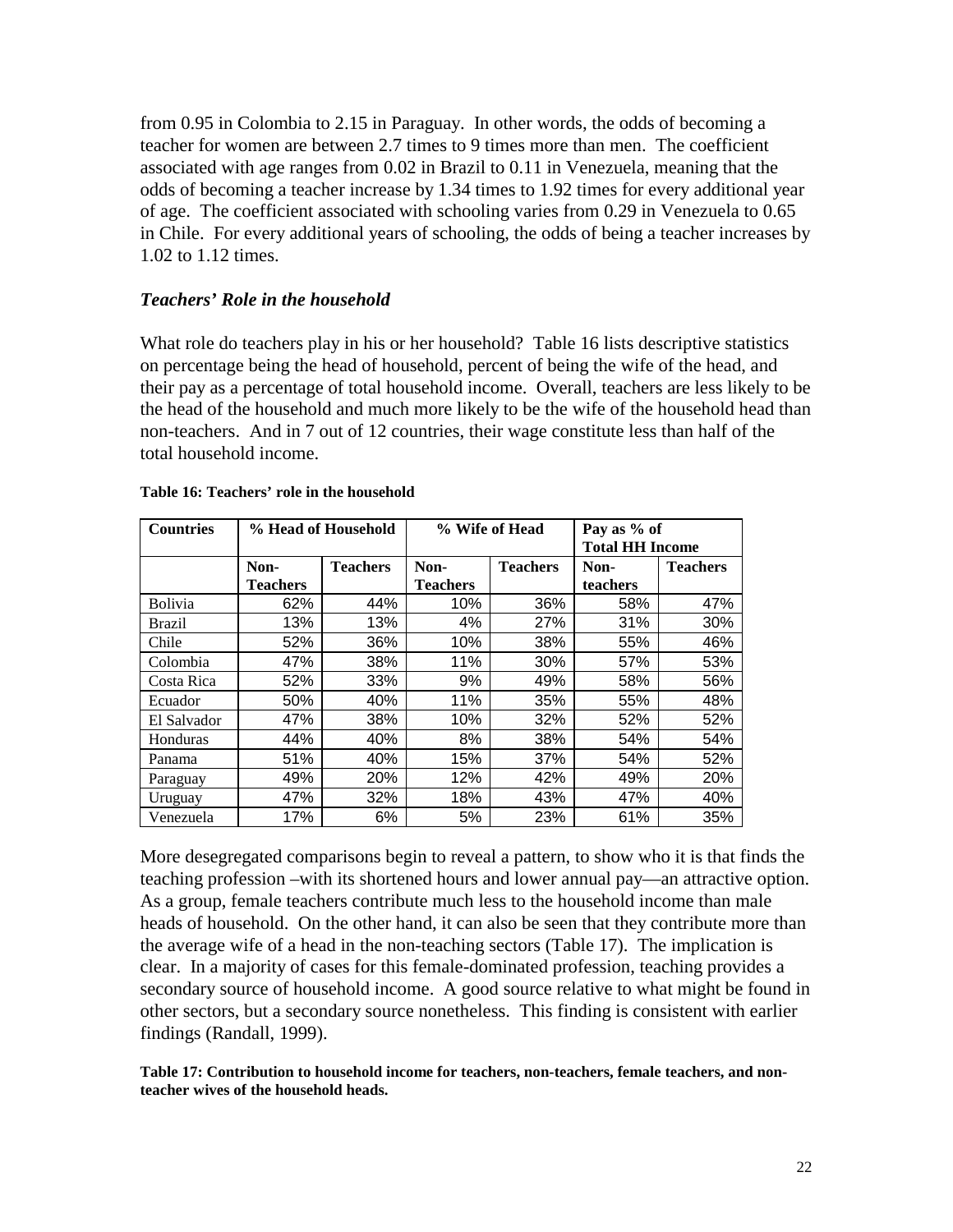from 0.95 in Colombia to 2.15 in Paraguay. In other words, the odds of becoming a teacher for women are between 2.7 times to 9 times more than men. The coefficient associated with age ranges from 0.02 in Brazil to 0.11 in Venezuela, meaning that the odds of becoming a teacher increase by 1.34 times to 1.92 times for every additional year of age. The coefficient associated with schooling varies from 0.29 in Venezuela to 0.65 in Chile. For every additional years of schooling, the odds of being a teacher increases by 1.02 to 1.12 times.

### *Teachers' Role in the household*

What role do teachers play in his or her household? Table 16 lists descriptive statistics on percentage being the head of household, percent of being the wife of the head, and their pay as a percentage of total household income. Overall, teachers are less likely to be the head of the household and much more likely to be the wife of the household head than non-teachers. And in 7 out of 12 countries, their wage constitute less than half of the total household income.

| <b>Countries</b> | % Head of Household |                 | % Wife of Head  |                 | Pay as % of            |                 |
|------------------|---------------------|-----------------|-----------------|-----------------|------------------------|-----------------|
|                  |                     |                 |                 |                 | <b>Total HH Income</b> |                 |
|                  | Non-                | <b>Teachers</b> | Non-            | <b>Teachers</b> | Non-                   | <b>Teachers</b> |
|                  | <b>Teachers</b>     |                 | <b>Teachers</b> |                 | teachers               |                 |
| <b>Bolivia</b>   | 62%                 | 44%             | 10%             | 36%             | 58%                    | 47%             |
| Brazil           | 13%                 | 13%             | 4%              | 27%             | 31%                    | 30%             |
| Chile            | 52%                 | 36%             | 10%             | 38%             | 55%                    | 46%             |
| Colombia         | 47%                 | 38%             | 11%             | 30%             | 57%                    | 53%             |
| Costa Rica       | 52%                 | 33%             | 9%              | 49%             | 58%                    | 56%             |
| Ecuador          | 50%                 | 40%             | 11%             | 35%             | 55%                    | 48%             |
| El Salvador      | 47%                 | 38%             | 10%             | 32%             | 52%                    | 52%             |
| Honduras         | 44%                 | 40%             | 8%              | 38%             | 54%                    | 54%             |
| Panama           | 51%                 | 40%             | 15%             | 37%             | 54%                    | 52%             |
| Paraguay         | 49%                 | 20%             | 12%             | 42%             | 49%                    | 20%             |
| Uruguay          | 47%                 | 32%             | 18%             | 43%             | 47%                    | 40%             |
| Venezuela        | 17%                 | 6%              | 5%              | 23%             | 61%                    | 35%             |

#### **Table 16: Teachers' role in the household**

More desegregated comparisons begin to reveal a pattern, to show who it is that finds the teaching profession –with its shortened hours and lower annual pay—an attractive option. As a group, female teachers contribute much less to the household income than male heads of household. On the other hand, it can also be seen that they contribute more than the average wife of a head in the non-teaching sectors (Table 17). The implication is clear. In a majority of cases for this female-dominated profession, teaching provides a secondary source of household income. A good source relative to what might be found in other sectors, but a secondary source nonetheless. This finding is consistent with earlier findings (Randall, 1999).

**Table 17: Contribution to household income for teachers, non-teachers, female teachers, and nonteacher wives of the household heads.**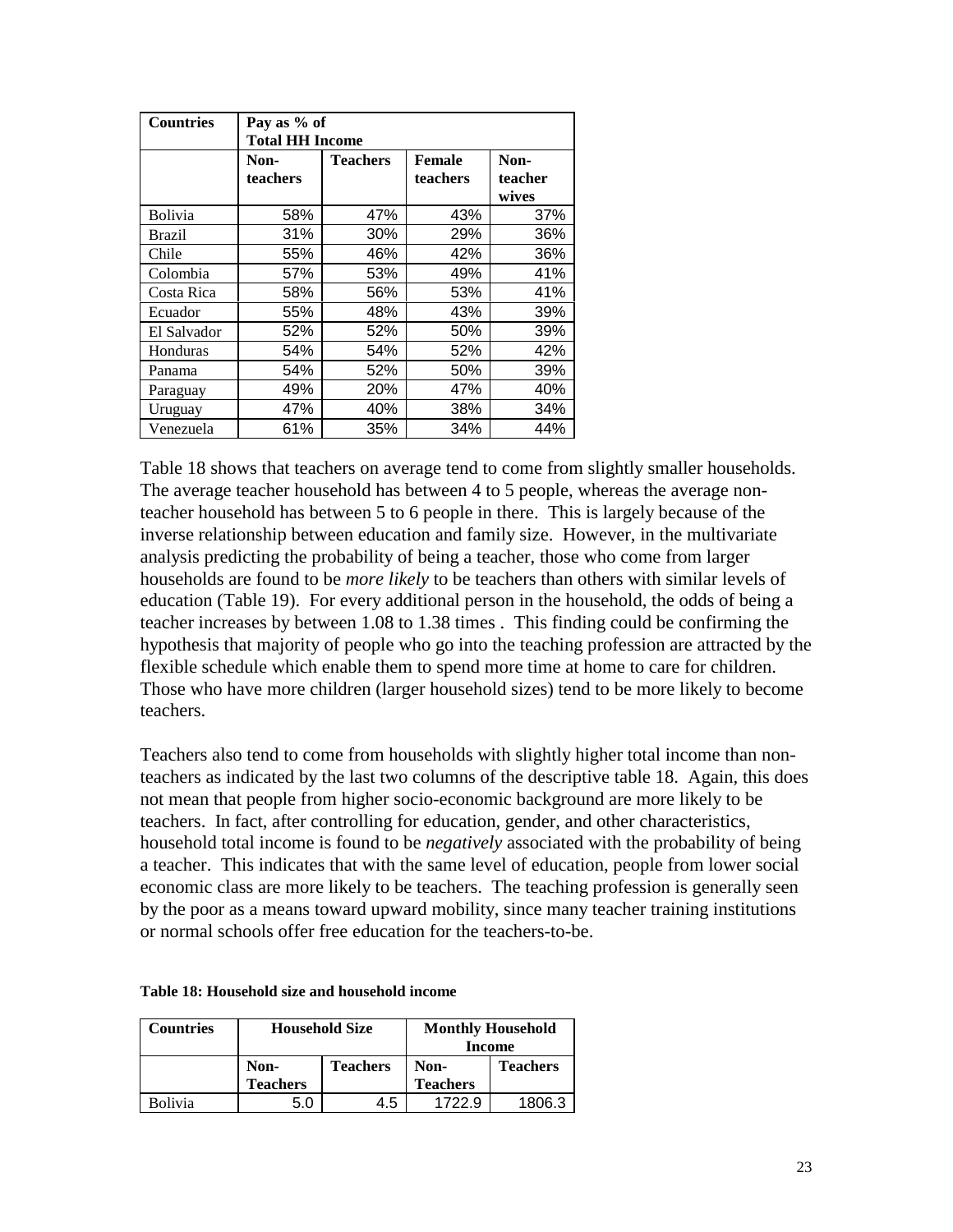| <b>Countries</b> | Pay as % of |                        |          |         |  |  |  |  |
|------------------|-------------|------------------------|----------|---------|--|--|--|--|
|                  |             | <b>Total HH Income</b> |          |         |  |  |  |  |
|                  | Non-        | <b>Teachers</b>        | Female   | Non-    |  |  |  |  |
|                  | teachers    |                        | teachers | teacher |  |  |  |  |
|                  |             |                        |          | wives   |  |  |  |  |
| <b>Bolivia</b>   | 58%         | 47%                    | 43%      | 37%     |  |  |  |  |
| <b>Brazil</b>    | 31%         | 30%                    | 29%      | 36%     |  |  |  |  |
| Chile            | 55%         | 46%                    | 42%      | 36%     |  |  |  |  |
| Colombia         | 57%         | 53%                    | 49%      | 41%     |  |  |  |  |
| Costa Rica       | 58%         | 56%                    | 53%      | 41%     |  |  |  |  |
| Ecuador          | 55%         | 48%                    | 43%      | 39%     |  |  |  |  |
| El Salvador      | 52%         | 52%                    | 50%      | 39%     |  |  |  |  |
| Honduras         | 54%         | 54%                    | 52%      | 42%     |  |  |  |  |
| Panama           | 54%         | 52%                    | 50%      | 39%     |  |  |  |  |
| Paraguay         | 49%         | 20%                    | 47%      | 40%     |  |  |  |  |
| Uruguay          | 47%         | 40%                    | 38%      | 34%     |  |  |  |  |
| Venezuela        | 61%         | 35%                    | 34%      | 44%     |  |  |  |  |

Table 18 shows that teachers on average tend to come from slightly smaller households. The average teacher household has between 4 to 5 people, whereas the average nonteacher household has between 5 to 6 people in there. This is largely because of the inverse relationship between education and family size. However, in the multivariate analysis predicting the probability of being a teacher, those who come from larger households are found to be *more likely* to be teachers than others with similar levels of education (Table 19). For every additional person in the household, the odds of being a teacher increases by between 1.08 to 1.38 times . This finding could be confirming the hypothesis that majority of people who go into the teaching profession are attracted by the flexible schedule which enable them to spend more time at home to care for children. Those who have more children (larger household sizes) tend to be more likely to become teachers.

Teachers also tend to come from households with slightly higher total income than nonteachers as indicated by the last two columns of the descriptive table 18. Again, this does not mean that people from higher socio-economic background are more likely to be teachers. In fact, after controlling for education, gender, and other characteristics, household total income is found to be *negatively* associated with the probability of being a teacher. This indicates that with the same level of education, people from lower social economic class are more likely to be teachers. The teaching profession is generally seen by the poor as a means toward upward mobility, since many teacher training institutions or normal schools offer free education for the teachers-to-be.

|  | Table 18: Household size and household income |  |  |  |
|--|-----------------------------------------------|--|--|--|
|--|-----------------------------------------------|--|--|--|

| <b>Countries</b> | <b>Household Size</b> |                 | <b>Monthly Household</b><br>Income |                 |
|------------------|-----------------------|-----------------|------------------------------------|-----------------|
|                  | Non-                  | <b>Teachers</b> | Non-                               | <b>Teachers</b> |
|                  | <b>Teachers</b>       |                 | <b>Teachers</b>                    |                 |
| <b>Bolivia</b>   | 5.0                   | 4.5             | 1722.9                             | 1806.3          |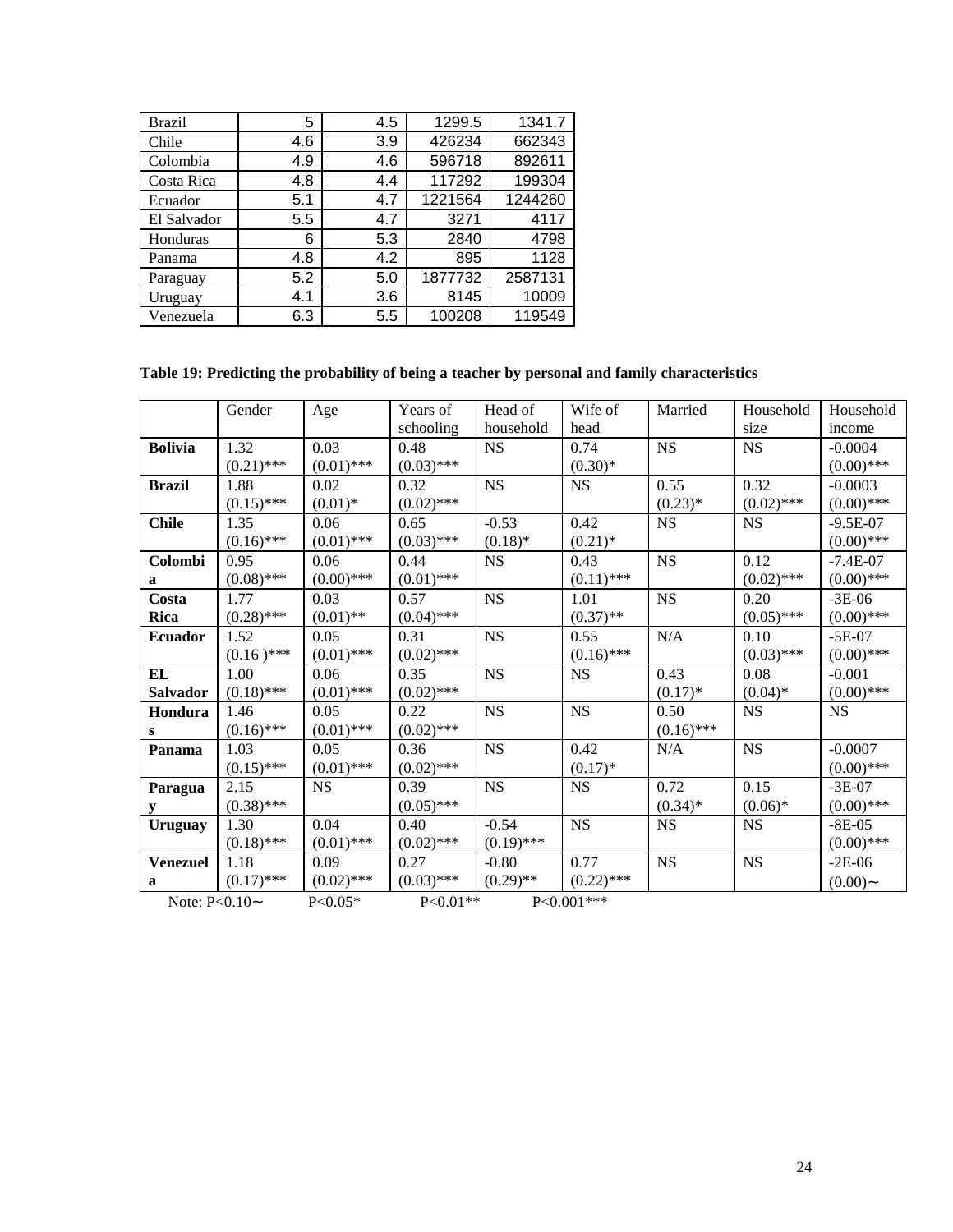| Brazil      | 5   | 4.5     | 1299.5  | 1341.7  |
|-------------|-----|---------|---------|---------|
| Chile       | 4.6 | 3.9     | 426234  | 662343  |
| Colombia    | 4.9 | 4.6     | 596718  | 892611  |
| Costa Rica  | 4.8 | 4.4     | 117292  | 199304  |
| Ecuador     | 5.1 | 4.7     | 1221564 | 1244260 |
| El Salvador | 5.5 | 4.7     | 3271    | 4117    |
| Honduras    | 6   | 5.3     | 2840    | 4798    |
| Panama      | 4.8 | 4.2     | 895     | 1128    |
| Paraguay    | 5.2 | 5.0     | 1877732 | 2587131 |
| Uruguay     | 4.1 | 3.6     | 8145    | 10009   |
| Venezuela   | 6.3 | $5.5\,$ | 100208  | 119549  |

# **Table 19: Predicting the probability of being a teacher by personal and family characteristics**

|                 | Gender       | Age          | Years of     | Head of      | Wife of      | Married      | Household    | Household    |
|-----------------|--------------|--------------|--------------|--------------|--------------|--------------|--------------|--------------|
|                 |              |              | schooling    | household    | head         |              | size         | income       |
| <b>Bolivia</b>  | 1.32         | 0.03         | 0.48         | <b>NS</b>    | 0.74         | <b>NS</b>    | <b>NS</b>    | $-0.0004$    |
|                 | $(0.21)$ *** | $(0.01)$ *** | $(0.03)$ *** |              | $(0.30)*$    |              |              | $(0.00)$ *** |
| <b>Brazil</b>   | 1.88         | 0.02         | 0.32         | NS           | NS           | 0.55         | 0.32         | $-0.0003$    |
|                 | $(0.15)$ *** | $(0.01)$ *   | $(0.02)$ *** |              |              | $(0.23)*$    | $(0.02)$ *** | $(0.00)$ *** |
| <b>Chile</b>    | 1.35         | 0.06         | 0.65         | $-0.53$      | 0.42         | <b>NS</b>    | <b>NS</b>    | $-9.5E-07$   |
|                 | $(0.16)$ *** | $(0.01)$ *** | $(0.03)$ *** | $(0.18)$ *   | $(0.21)$ *   |              |              | $(0.00)$ *** |
| Colombi         | 0.95         | 0.06         | 0.44         | $_{\rm NS}$  | 0.43         | $_{\rm NS}$  | 0.12         | $-7.4E-07$   |
| a               | $(0.08)$ *** | $(0.00)$ *** | $(0.01)$ *** |              | $(0.11)$ *** |              | $(0.02)$ *** | $(0.00)$ *** |
| Costa           | 1.77         | 0.03         | 0.57         | <b>NS</b>    | 1.01         | <b>NS</b>    | 0.20         | $-3E-06$     |
| Rica            | $(0.28)$ *** | $(0.01)$ **  | $(0.04)$ *** |              | $(0.37)$ **  |              | $(0.05)$ *** | $(0.00)$ *** |
| <b>Ecuador</b>  | 1.52         | 0.05         | 0.31         | $_{\rm NS}$  | 0.55         | N/A          | 0.10         | $-5E-07$     |
|                 | $(0.16)$ *** | $(0.01)$ *** | $(0.02)$ *** |              | $(0.16)$ *** |              | $(0.03)$ *** | $(0.00)$ *** |
| <b>EL</b>       | 1.00         | 0.06         | 0.35         | <b>NS</b>    | NS           | 0.43         | 0.08         | $-0.001$     |
| Salvador        | $(0.18)$ *** | $(0.01)$ *** | $(0.02)$ *** |              |              | $(0.17)*$    | $(0.04)$ *   | $(0.00)$ *** |
| Hondura         | 1.46         | 0.05         | 0.22         | NS           | NS           | 0.50         | NS           | <b>NS</b>    |
| ${\bf S}$       | $(0.16)$ *** | $(0.01)$ *** | $(0.02)$ *** |              |              | $(0.16)$ *** |              |              |
| Panama          | 1.03         | 0.05         | 0.36         | NS           | 0.42         | $\rm N/A$    | $_{\rm NS}$  | $-0.0007$    |
|                 | $(0.15)$ *** | $(0.01)$ *** | $(0.02)$ *** |              | $(0.17)*$    |              |              | $(0.00)$ *** |
| Paragua         | 2.15         | NS           | 0.39         | NS           | NS           | 0.72         | 0.15         | $-3E-07$     |
| ${\bf y}$       | $(0.38)$ *** |              | $(0.05)$ *** |              |              | $(0.34)$ *   | $(0.06)*$    | $(0.00)$ *** |
| Uruguay         | 1.30         | 0.04         | 0.40         | $-0.54$      | NS           | <b>NS</b>    | <b>NS</b>    | $-8E-05$     |
|                 | $(0.18)$ *** | $(0.01)$ *** | $(0.02)$ *** | $(0.19)$ *** |              |              |              | $(0.00)$ *** |
| <b>Venezuel</b> | 1.18         | 0.09         | 0.27         | $-0.80$      | 0.77         | <b>NS</b>    | $_{\rm NS}$  | $-2E-06$     |
| a               | $(0.17)$ *** | $(0.02)$ *** | $(0.03)$ *** | $(0.29)$ **  | $(0.22)$ *** |              |              | $(0.00)$ ~   |
| Note: $P<0.10-$ |              | $P<0.05*$    | $P<0.01**$   |              | $P<0.001***$ |              |              |              |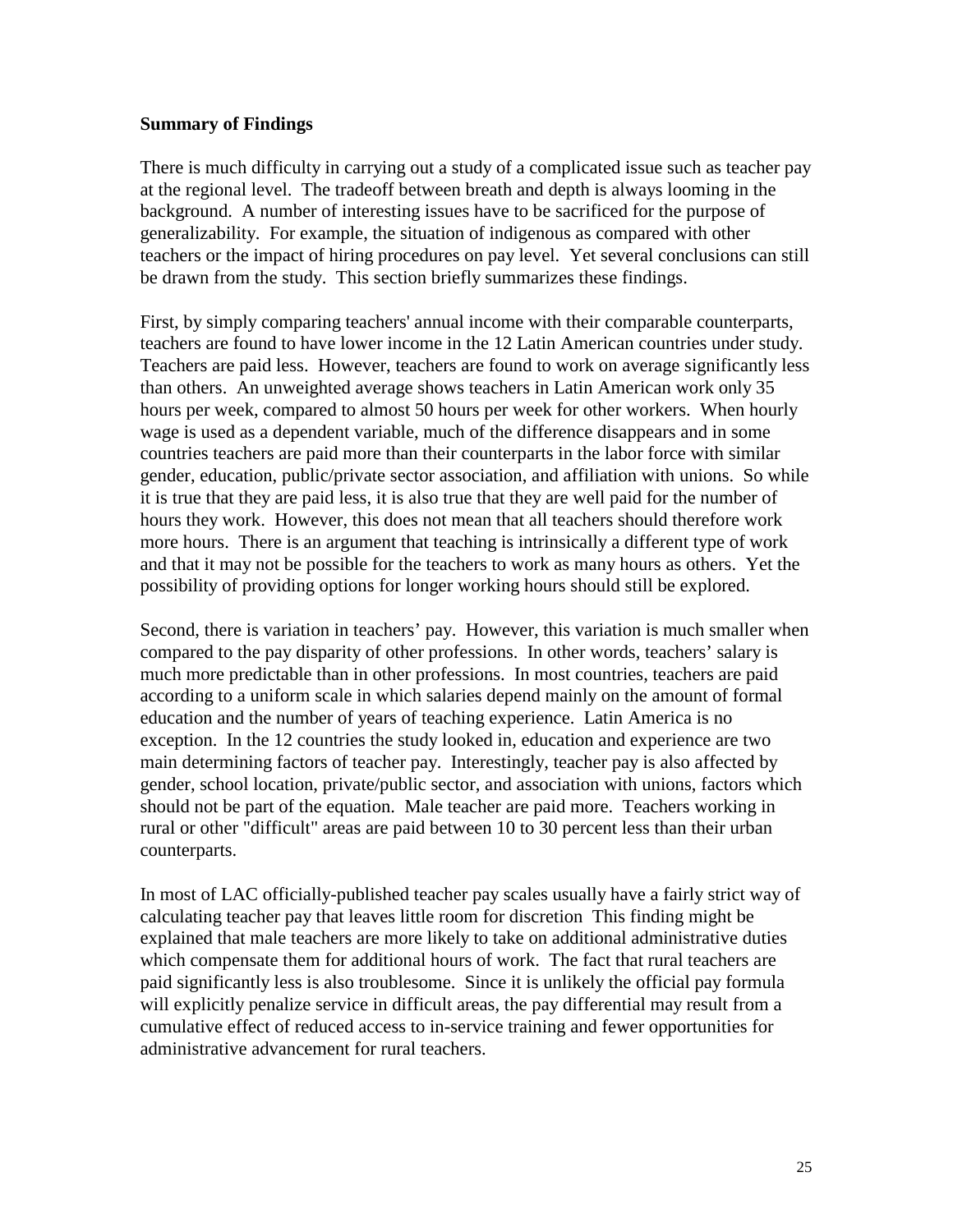### **Summary of Findings**

There is much difficulty in carrying out a study of a complicated issue such as teacher pay at the regional level. The tradeoff between breath and depth is always looming in the background. A number of interesting issues have to be sacrificed for the purpose of generalizability. For example, the situation of indigenous as compared with other teachers or the impact of hiring procedures on pay level. Yet several conclusions can still be drawn from the study. This section briefly summarizes these findings.

First, by simply comparing teachers' annual income with their comparable counterparts, teachers are found to have lower income in the 12 Latin American countries under study. Teachers are paid less. However, teachers are found to work on average significantly less than others. An unweighted average shows teachers in Latin American work only 35 hours per week, compared to almost 50 hours per week for other workers. When hourly wage is used as a dependent variable, much of the difference disappears and in some countries teachers are paid more than their counterparts in the labor force with similar gender, education, public/private sector association, and affiliation with unions. So while it is true that they are paid less, it is also true that they are well paid for the number of hours they work. However, this does not mean that all teachers should therefore work more hours. There is an argument that teaching is intrinsically a different type of work and that it may not be possible for the teachers to work as many hours as others. Yet the possibility of providing options for longer working hours should still be explored.

Second, there is variation in teachers' pay. However, this variation is much smaller when compared to the pay disparity of other professions. In other words, teachers' salary is much more predictable than in other professions. In most countries, teachers are paid according to a uniform scale in which salaries depend mainly on the amount of formal education and the number of years of teaching experience. Latin America is no exception. In the 12 countries the study looked in, education and experience are two main determining factors of teacher pay. Interestingly, teacher pay is also affected by gender, school location, private/public sector, and association with unions, factors which should not be part of the equation. Male teacher are paid more. Teachers working in rural or other "difficult" areas are paid between 10 to 30 percent less than their urban counterparts.

In most of LAC officially-published teacher pay scales usually have a fairly strict way of calculating teacher pay that leaves little room for discretion This finding might be explained that male teachers are more likely to take on additional administrative duties which compensate them for additional hours of work. The fact that rural teachers are paid significantly less is also troublesome. Since it is unlikely the official pay formula will explicitly penalize service in difficult areas, the pay differential may result from a cumulative effect of reduced access to in-service training and fewer opportunities for administrative advancement for rural teachers.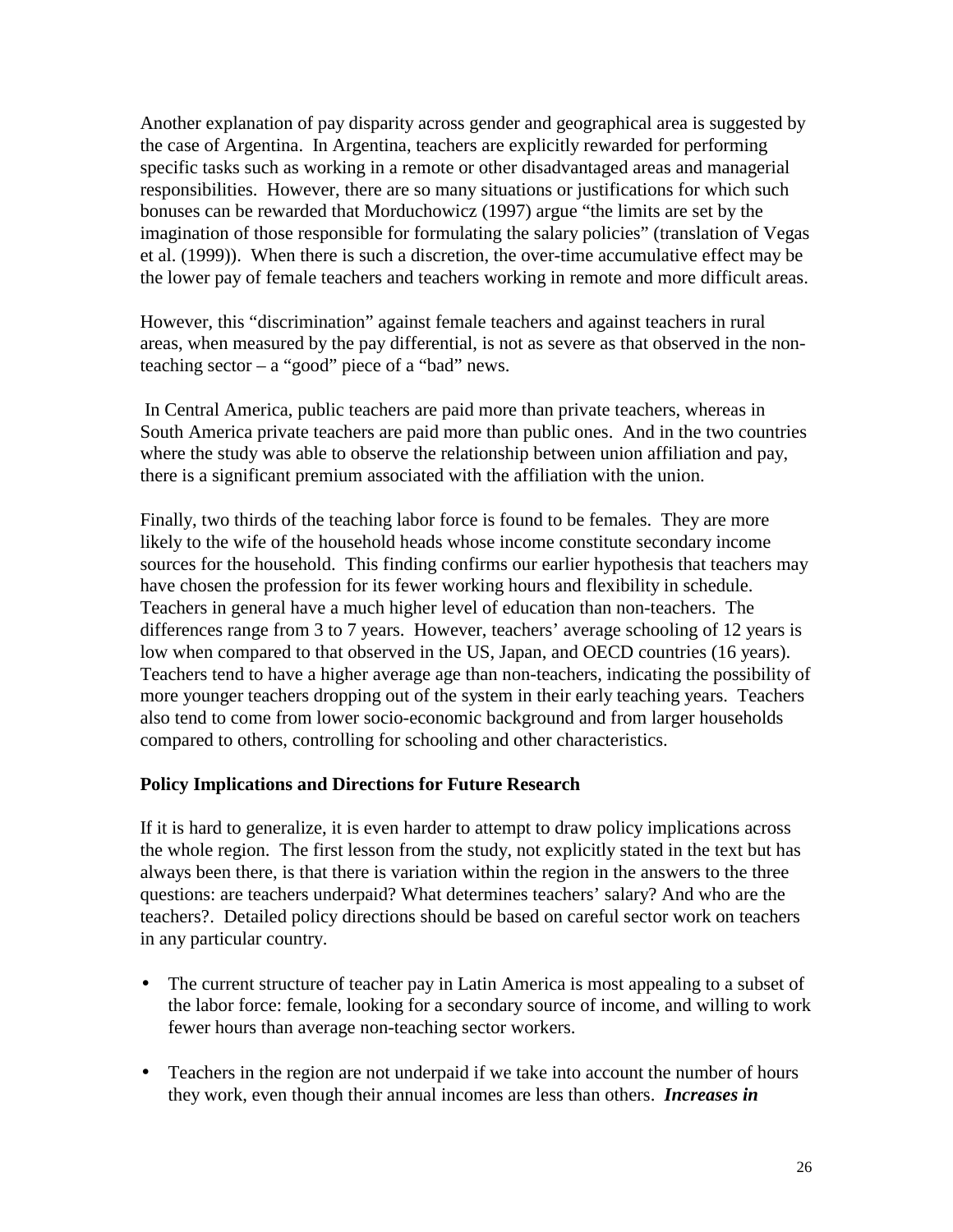Another explanation of pay disparity across gender and geographical area is suggested by the case of Argentina. In Argentina, teachers are explicitly rewarded for performing specific tasks such as working in a remote or other disadvantaged areas and managerial responsibilities. However, there are so many situations or justifications for which such bonuses can be rewarded that Morduchowicz (1997) argue "the limits are set by the imagination of those responsible for formulating the salary policies" (translation of Vegas et al. (1999)). When there is such a discretion, the over-time accumulative effect may be the lower pay of female teachers and teachers working in remote and more difficult areas.

However, this "discrimination" against female teachers and against teachers in rural areas, when measured by the pay differential, is not as severe as that observed in the nonteaching sector  $-$  a "good" piece of a "bad" news.

 In Central America, public teachers are paid more than private teachers, whereas in South America private teachers are paid more than public ones. And in the two countries where the study was able to observe the relationship between union affiliation and pay, there is a significant premium associated with the affiliation with the union.

Finally, two thirds of the teaching labor force is found to be females. They are more likely to the wife of the household heads whose income constitute secondary income sources for the household. This finding confirms our earlier hypothesis that teachers may have chosen the profession for its fewer working hours and flexibility in schedule. Teachers in general have a much higher level of education than non-teachers. The differences range from 3 to 7 years. However, teachers' average schooling of 12 years is low when compared to that observed in the US, Japan, and OECD countries (16 years). Teachers tend to have a higher average age than non-teachers, indicating the possibility of more younger teachers dropping out of the system in their early teaching years. Teachers also tend to come from lower socio-economic background and from larger households compared to others, controlling for schooling and other characteristics.

### **Policy Implications and Directions for Future Research**

If it is hard to generalize, it is even harder to attempt to draw policy implications across the whole region. The first lesson from the study, not explicitly stated in the text but has always been there, is that there is variation within the region in the answers to the three questions: are teachers underpaid? What determines teachers' salary? And who are the teachers?. Detailed policy directions should be based on careful sector work on teachers in any particular country.

- The current structure of teacher pay in Latin America is most appealing to a subset of the labor force: female, looking for a secondary source of income, and willing to work fewer hours than average non-teaching sector workers.
- Teachers in the region are not underpaid if we take into account the number of hours they work, even though their annual incomes are less than others. *Increases in*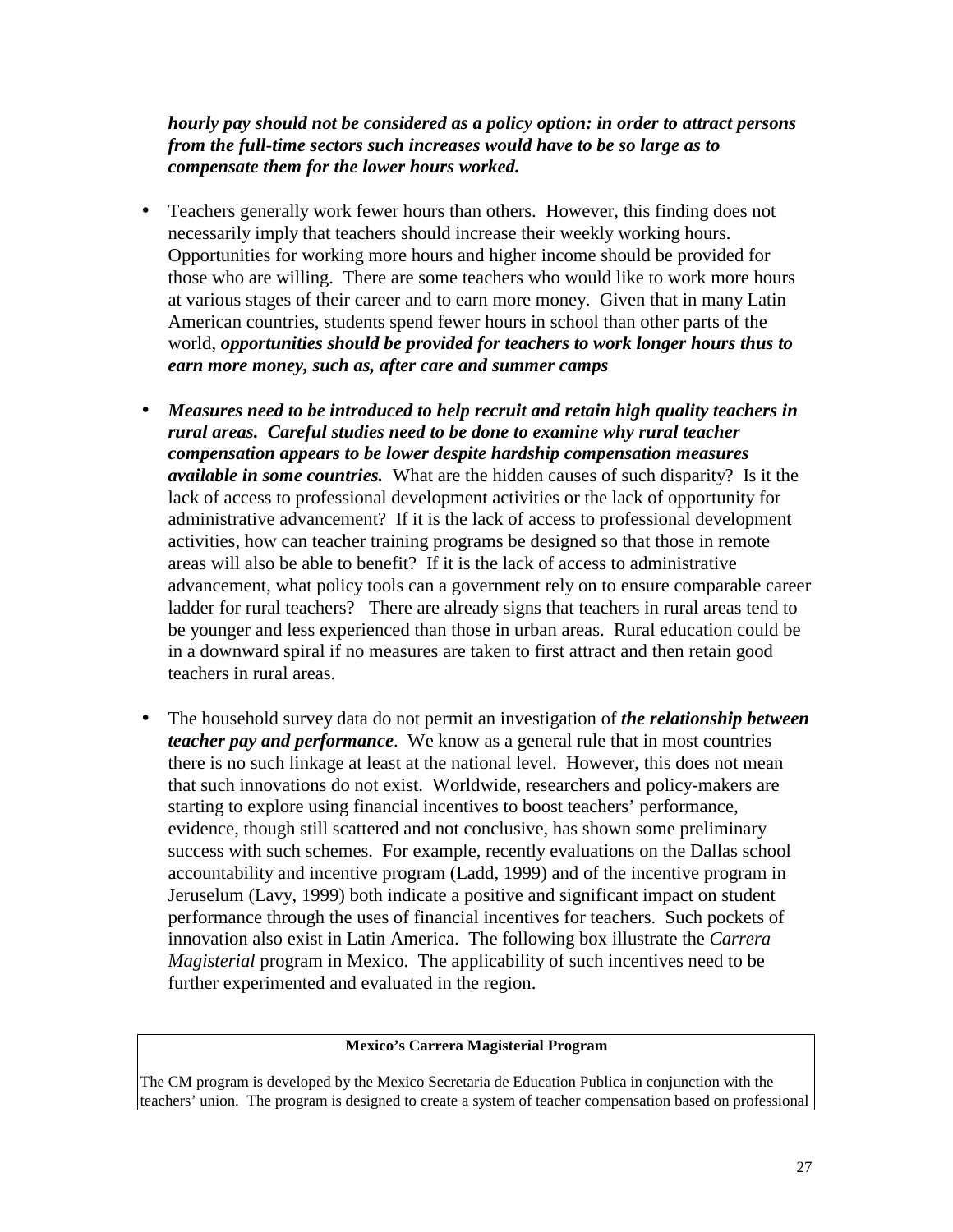*hourly pay should not be considered as a policy option: in order to attract persons from the full-time sectors such increases would have to be so large as to compensate them for the lower hours worked.*

- Teachers generally work fewer hours than others. However, this finding does not necessarily imply that teachers should increase their weekly working hours. Opportunities for working more hours and higher income should be provided for those who are willing. There are some teachers who would like to work more hours at various stages of their career and to earn more money. Given that in many Latin American countries, students spend fewer hours in school than other parts of the world, *opportunities should be provided for teachers to work longer hours thus to earn more money, such as, after care and summer camps*
- *Measures need to be introduced to help recruit and retain high quality teachers in rural areas. Careful studies need to be done to examine why rural teacher compensation appears to be lower despite hardship compensation measures available in some countries.* What are the hidden causes of such disparity? Is it the lack of access to professional development activities or the lack of opportunity for administrative advancement? If it is the lack of access to professional development activities, how can teacher training programs be designed so that those in remote areas will also be able to benefit? If it is the lack of access to administrative advancement, what policy tools can a government rely on to ensure comparable career ladder for rural teachers? There are already signs that teachers in rural areas tend to be younger and less experienced than those in urban areas. Rural education could be in a downward spiral if no measures are taken to first attract and then retain good teachers in rural areas.
- The household survey data do not permit an investigation of *the relationship between teacher pay and performance*. We know as a general rule that in most countries there is no such linkage at least at the national level. However, this does not mean that such innovations do not exist. Worldwide, researchers and policy-makers are starting to explore using financial incentives to boost teachers' performance, evidence, though still scattered and not conclusive, has shown some preliminary success with such schemes. For example, recently evaluations on the Dallas school accountability and incentive program (Ladd, 1999) and of the incentive program in Jeruselum (Lavy, 1999) both indicate a positive and significant impact on student performance through the uses of financial incentives for teachers. Such pockets of innovation also exist in Latin America. The following box illustrate the *Carrera Magisterial* program in Mexico. The applicability of such incentives need to be further experimented and evaluated in the region.

#### **Mexico's Carrera Magisterial Program**

The CM program is developed by the Mexico Secretaria de Education Publica in conjunction with the teachers' union. The program is designed to create a system of teacher compensation based on professional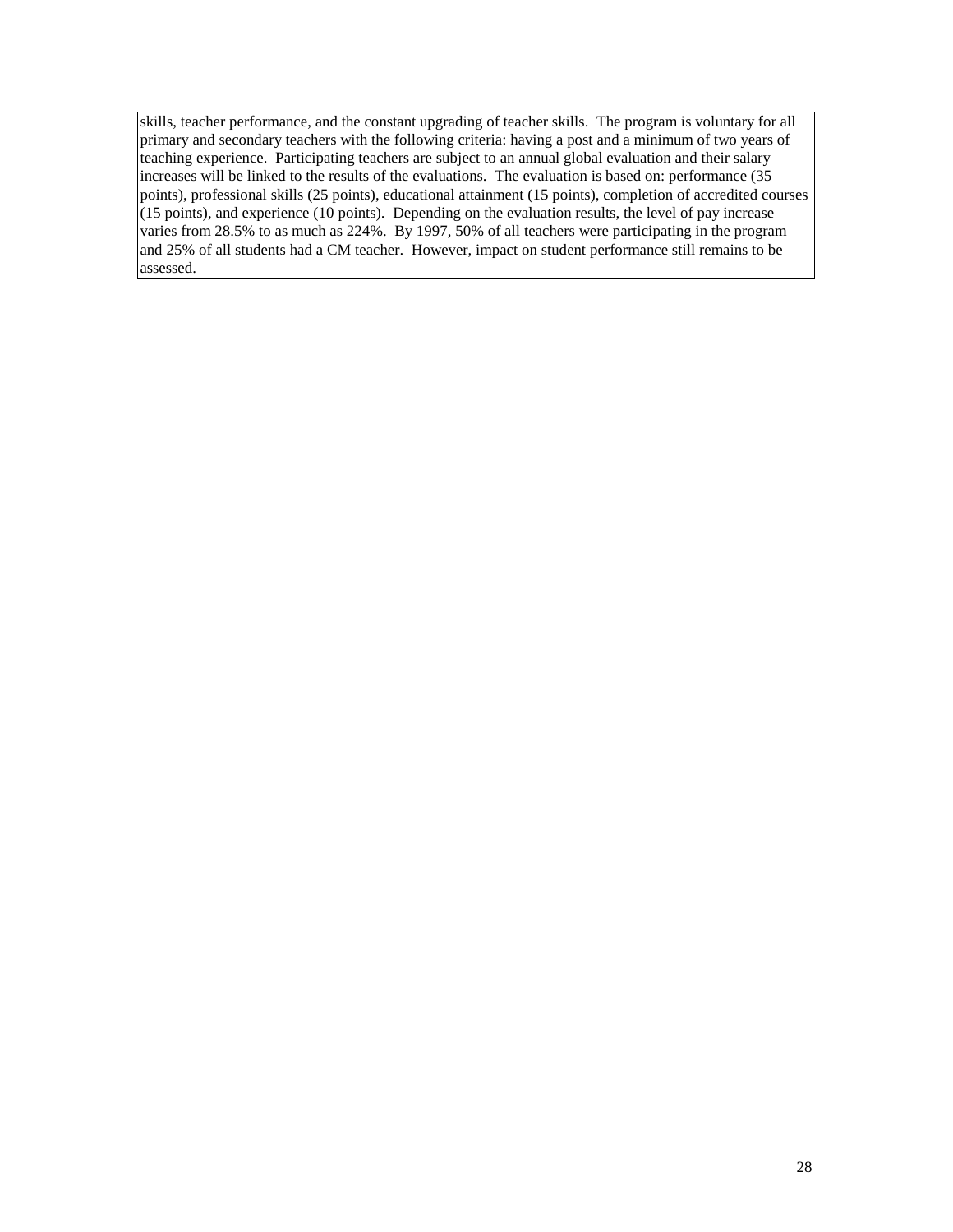skills, teacher performance, and the constant upgrading of teacher skills. The program is voluntary for all primary and secondary teachers with the following criteria: having a post and a minimum of two years of teaching experience. Participating teachers are subject to an annual global evaluation and their salary increases will be linked to the results of the evaluations. The evaluation is based on: performance (35 points), professional skills (25 points), educational attainment (15 points), completion of accredited courses (15 points), and experience (10 points). Depending on the evaluation results, the level of pay increase varies from 28.5% to as much as 224%. By 1997, 50% of all teachers were participating in the program and 25% of all students had a CM teacher. However, impact on student performance still remains to be assessed.